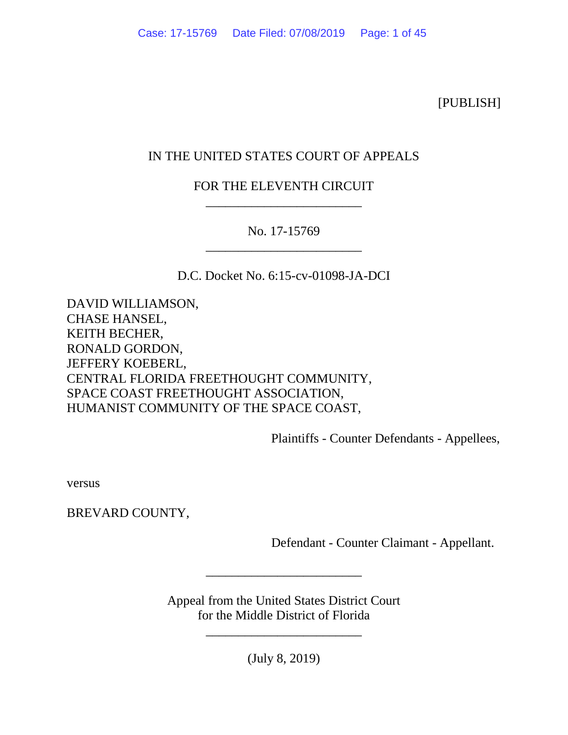[PUBLISH]

# IN THE UNITED STATES COURT OF APPEALS

# FOR THE ELEVENTH CIRCUIT \_\_\_\_\_\_\_\_\_\_\_\_\_\_\_\_\_\_\_\_\_\_\_\_

# No. 17-15769 \_\_\_\_\_\_\_\_\_\_\_\_\_\_\_\_\_\_\_\_\_\_\_\_

D.C. Docket No. 6:15-cv-01098-JA-DCI

DAVID WILLIAMSON, CHASE HANSEL, KEITH BECHER, RONALD GORDON, JEFFERY KOEBERL, CENTRAL FLORIDA FREETHOUGHT COMMUNITY, SPACE COAST FREETHOUGHT ASSOCIATION, HUMANIST COMMUNITY OF THE SPACE COAST,

Plaintiffs - Counter Defendants - Appellees,

versus

BREVARD COUNTY,

Defendant - Counter Claimant - Appellant.

Appeal from the United States District Court for the Middle District of Florida

\_\_\_\_\_\_\_\_\_\_\_\_\_\_\_\_\_\_\_\_\_\_\_\_

(July 8, 2019)

\_\_\_\_\_\_\_\_\_\_\_\_\_\_\_\_\_\_\_\_\_\_\_\_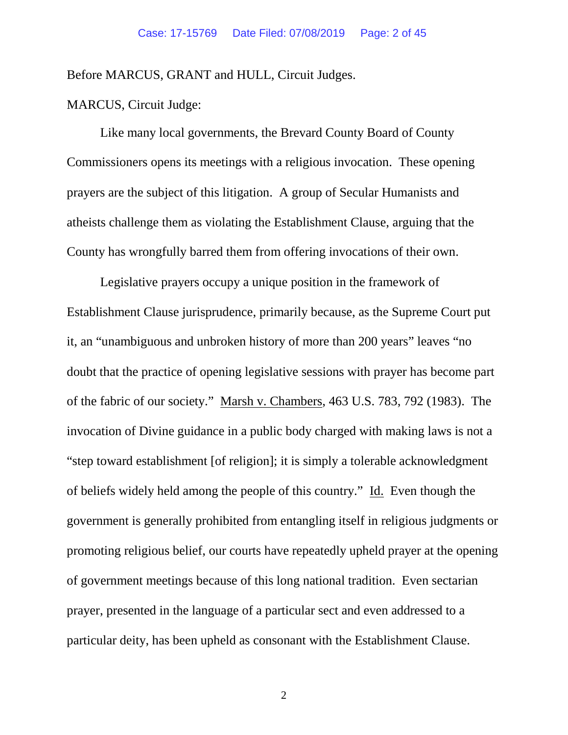Before MARCUS, GRANT and HULL, Circuit Judges.

## MARCUS, Circuit Judge:

Like many local governments, the Brevard County Board of County Commissioners opens its meetings with a religious invocation. These opening prayers are the subject of this litigation. A group of Secular Humanists and atheists challenge them as violating the Establishment Clause, arguing that the County has wrongfully barred them from offering invocations of their own.

Legislative prayers occupy a unique position in the framework of Establishment Clause jurisprudence, primarily because, as the Supreme Court put it, an "unambiguous and unbroken history of more than 200 years" leaves "no doubt that the practice of opening legislative sessions with prayer has become part of the fabric of our society." Marsh v. Chambers, 463 U.S. 783, 792 (1983). The invocation of Divine guidance in a public body charged with making laws is not a "step toward establishment [of religion]; it is simply a tolerable acknowledgment of beliefs widely held among the people of this country." Id. Even though the government is generally prohibited from entangling itself in religious judgments or promoting religious belief, our courts have repeatedly upheld prayer at the opening of government meetings because of this long national tradition. Even sectarian prayer, presented in the language of a particular sect and even addressed to a particular deity, has been upheld as consonant with the Establishment Clause.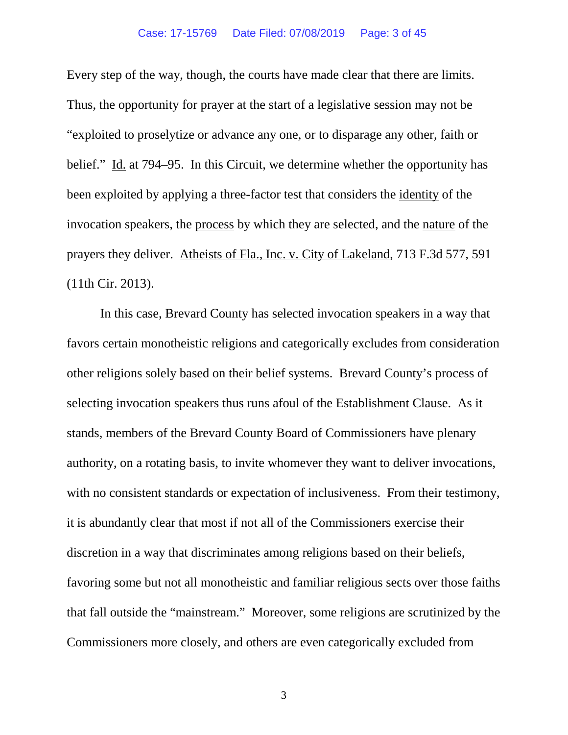Every step of the way, though, the courts have made clear that there are limits. Thus, the opportunity for prayer at the start of a legislative session may not be "exploited to proselytize or advance any one, or to disparage any other, faith or belief." Id. at 794–95. In this Circuit, we determine whether the opportunity has been exploited by applying a three-factor test that considers the identity of the invocation speakers, the process by which they are selected, and the nature of the prayers they deliver. Atheists of Fla., Inc. v. City of Lakeland, 713 F.3d 577, 591 (11th Cir. 2013).

In this case, Brevard County has selected invocation speakers in a way that favors certain monotheistic religions and categorically excludes from consideration other religions solely based on their belief systems. Brevard County's process of selecting invocation speakers thus runs afoul of the Establishment Clause. As it stands, members of the Brevard County Board of Commissioners have plenary authority, on a rotating basis, to invite whomever they want to deliver invocations, with no consistent standards or expectation of inclusiveness. From their testimony, it is abundantly clear that most if not all of the Commissioners exercise their discretion in a way that discriminates among religions based on their beliefs, favoring some but not all monotheistic and familiar religious sects over those faiths that fall outside the "mainstream." Moreover, some religions are scrutinized by the Commissioners more closely, and others are even categorically excluded from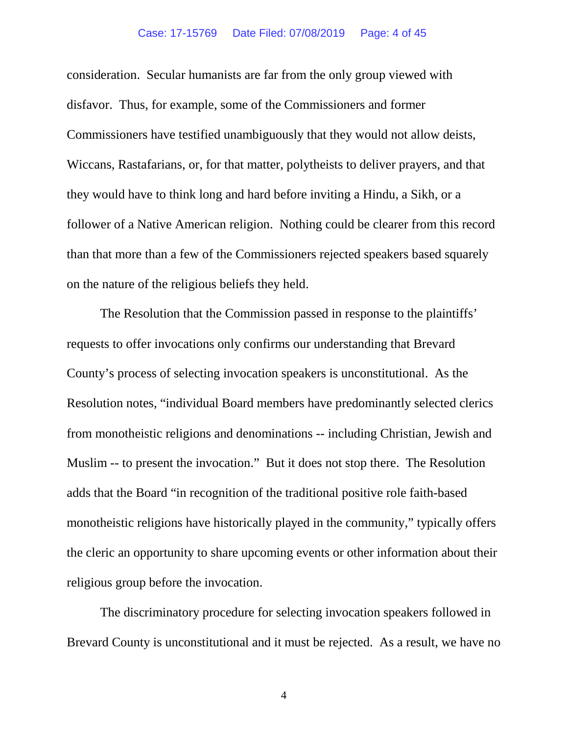## Case: 17-15769 Date Filed: 07/08/2019 Page: 4 of 45

consideration. Secular humanists are far from the only group viewed with disfavor. Thus, for example, some of the Commissioners and former Commissioners have testified unambiguously that they would not allow deists, Wiccans, Rastafarians, or, for that matter, polytheists to deliver prayers, and that they would have to think long and hard before inviting a Hindu, a Sikh, or a follower of a Native American religion. Nothing could be clearer from this record than that more than a few of the Commissioners rejected speakers based squarely on the nature of the religious beliefs they held.

The Resolution that the Commission passed in response to the plaintiffs' requests to offer invocations only confirms our understanding that Brevard County's process of selecting invocation speakers is unconstitutional. As the Resolution notes, "individual Board members have predominantly selected clerics from monotheistic religions and denominations -- including Christian, Jewish and Muslim -- to present the invocation." But it does not stop there. The Resolution adds that the Board "in recognition of the traditional positive role faith-based monotheistic religions have historically played in the community," typically offers the cleric an opportunity to share upcoming events or other information about their religious group before the invocation.

The discriminatory procedure for selecting invocation speakers followed in Brevard County is unconstitutional and it must be rejected. As a result, we have no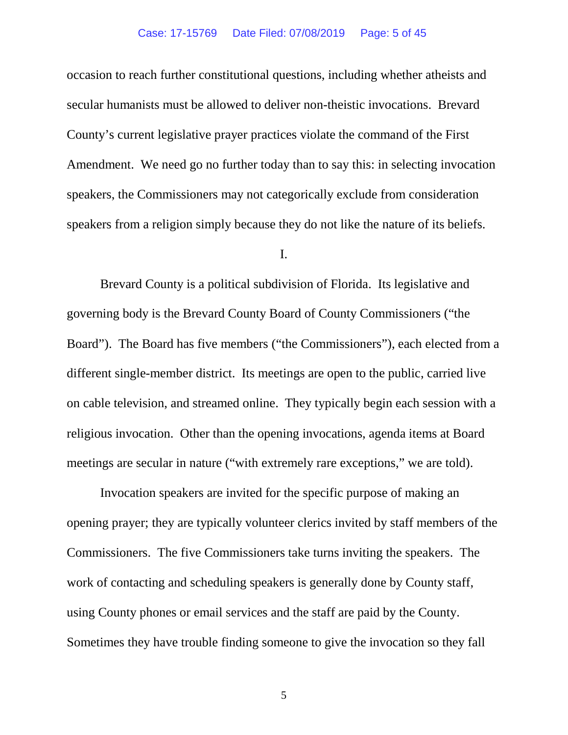occasion to reach further constitutional questions, including whether atheists and secular humanists must be allowed to deliver non-theistic invocations. Brevard County's current legislative prayer practices violate the command of the First Amendment. We need go no further today than to say this: in selecting invocation speakers, the Commissioners may not categorically exclude from consideration speakers from a religion simply because they do not like the nature of its beliefs.

## I.

Brevard County is a political subdivision of Florida. Its legislative and governing body is the Brevard County Board of County Commissioners ("the Board"). The Board has five members ("the Commissioners"), each elected from a different single-member district. Its meetings are open to the public, carried live on cable television, and streamed online. They typically begin each session with a religious invocation. Other than the opening invocations, agenda items at Board meetings are secular in nature ("with extremely rare exceptions," we are told).

Invocation speakers are invited for the specific purpose of making an opening prayer; they are typically volunteer clerics invited by staff members of the Commissioners. The five Commissioners take turns inviting the speakers. The work of contacting and scheduling speakers is generally done by County staff, using County phones or email services and the staff are paid by the County. Sometimes they have trouble finding someone to give the invocation so they fall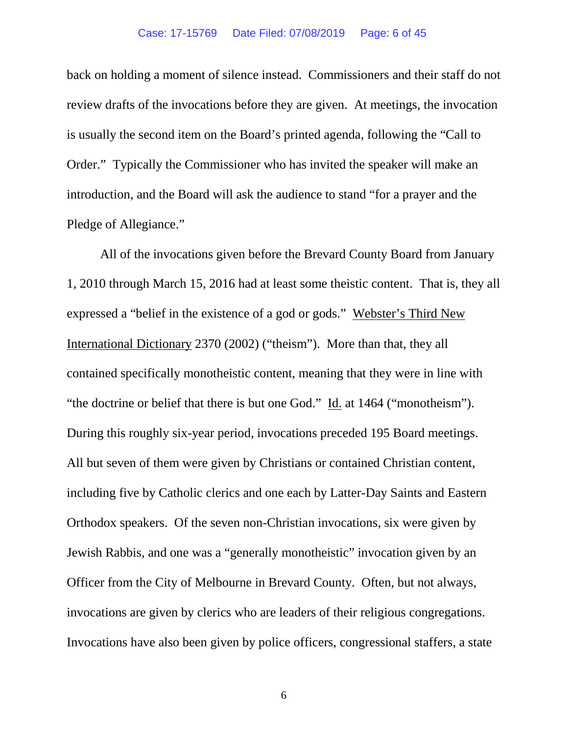back on holding a moment of silence instead. Commissioners and their staff do not review drafts of the invocations before they are given. At meetings, the invocation is usually the second item on the Board's printed agenda, following the "Call to Order." Typically the Commissioner who has invited the speaker will make an introduction, and the Board will ask the audience to stand "for a prayer and the Pledge of Allegiance."

All of the invocations given before the Brevard County Board from January 1, 2010 through March 15, 2016 had at least some theistic content. That is, they all expressed a "belief in the existence of a god or gods." Webster's Third New International Dictionary 2370 (2002) ("theism"). More than that, they all contained specifically monotheistic content, meaning that they were in line with "the doctrine or belief that there is but one God." Id. at 1464 ("monotheism"). During this roughly six-year period, invocations preceded 195 Board meetings. All but seven of them were given by Christians or contained Christian content, including five by Catholic clerics and one each by Latter-Day Saints and Eastern Orthodox speakers. Of the seven non-Christian invocations, six were given by Jewish Rabbis, and one was a "generally monotheistic" invocation given by an Officer from the City of Melbourne in Brevard County. Often, but not always, invocations are given by clerics who are leaders of their religious congregations. Invocations have also been given by police officers, congressional staffers, a state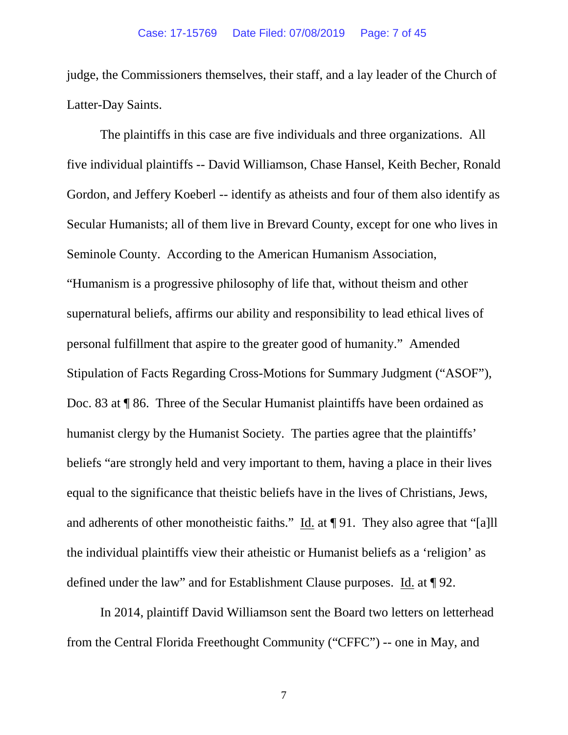judge, the Commissioners themselves, their staff, and a lay leader of the Church of Latter-Day Saints.

The plaintiffs in this case are five individuals and three organizations. All five individual plaintiffs -- David Williamson, Chase Hansel, Keith Becher, Ronald Gordon, and Jeffery Koeberl -- identify as atheists and four of them also identify as Secular Humanists; all of them live in Brevard County, except for one who lives in Seminole County. According to the American Humanism Association, "Humanism is a progressive philosophy of life that, without theism and other supernatural beliefs, affirms our ability and responsibility to lead ethical lives of personal fulfillment that aspire to the greater good of humanity." Amended Stipulation of Facts Regarding Cross-Motions for Summary Judgment ("ASOF"), Doc. 83 at ¶ 86. Three of the Secular Humanist plaintiffs have been ordained as humanist clergy by the Humanist Society. The parties agree that the plaintiffs' beliefs "are strongly held and very important to them, having a place in their lives equal to the significance that theistic beliefs have in the lives of Christians, Jews, and adherents of other monotheistic faiths." Id. at ¶ 91. They also agree that "[a]ll the individual plaintiffs view their atheistic or Humanist beliefs as a 'religion' as defined under the law" and for Establishment Clause purposes. Id. at ¶ 92.

In 2014, plaintiff David Williamson sent the Board two letters on letterhead from the Central Florida Freethought Community ("CFFC") -- one in May, and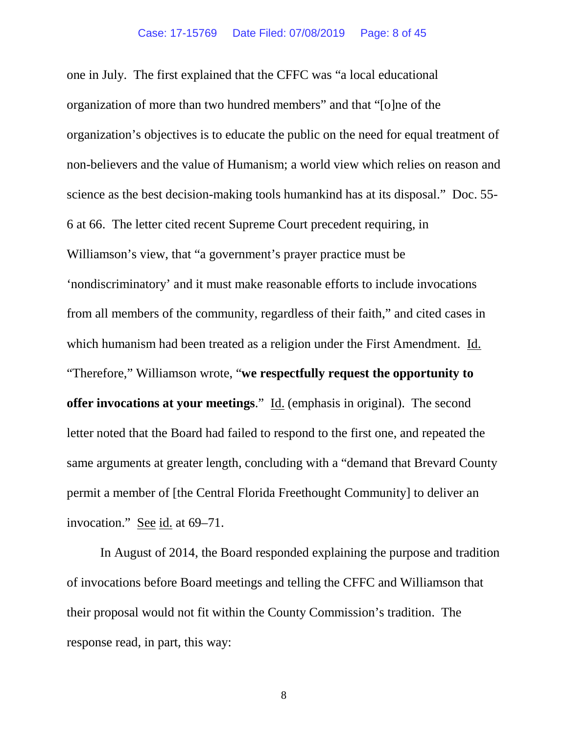one in July. The first explained that the CFFC was "a local educational organization of more than two hundred members" and that "[o]ne of the organization's objectives is to educate the public on the need for equal treatment of non-believers and the value of Humanism; a world view which relies on reason and science as the best decision-making tools humankind has at its disposal." Doc. 55- 6 at 66. The letter cited recent Supreme Court precedent requiring, in Williamson's view, that "a government's prayer practice must be 'nondiscriminatory' and it must make reasonable efforts to include invocations from all members of the community, regardless of their faith," and cited cases in which humanism had been treated as a religion under the First Amendment. Id. "Therefore," Williamson wrote, "**we respectfully request the opportunity to offer invocations at your meetings**." Id. (emphasis in original). The second letter noted that the Board had failed to respond to the first one, and repeated the same arguments at greater length, concluding with a "demand that Brevard County permit a member of [the Central Florida Freethought Community] to deliver an invocation." See id. at 69–71.

In August of 2014, the Board responded explaining the purpose and tradition of invocations before Board meetings and telling the CFFC and Williamson that their proposal would not fit within the County Commission's tradition. The response read, in part, this way: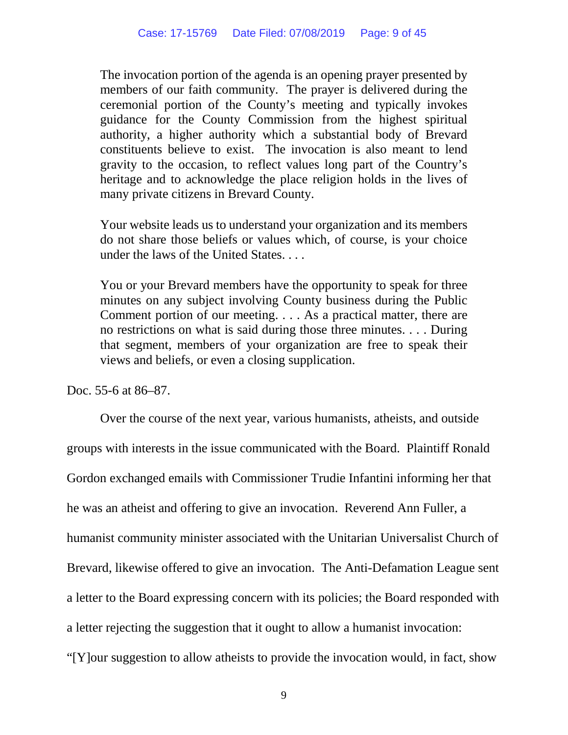The invocation portion of the agenda is an opening prayer presented by members of our faith community. The prayer is delivered during the ceremonial portion of the County's meeting and typically invokes guidance for the County Commission from the highest spiritual authority, a higher authority which a substantial body of Brevard constituents believe to exist. The invocation is also meant to lend gravity to the occasion, to reflect values long part of the Country's heritage and to acknowledge the place religion holds in the lives of many private citizens in Brevard County.

Your website leads us to understand your organization and its members do not share those beliefs or values which, of course, is your choice under the laws of the United States. . . .

You or your Brevard members have the opportunity to speak for three minutes on any subject involving County business during the Public Comment portion of our meeting. . . . As a practical matter, there are no restrictions on what is said during those three minutes. . . . During that segment, members of your organization are free to speak their views and beliefs, or even a closing supplication.

Doc. 55-6 at 86–87.

Over the course of the next year, various humanists, atheists, and outside groups with interests in the issue communicated with the Board. Plaintiff Ronald Gordon exchanged emails with Commissioner Trudie Infantini informing her that he was an atheist and offering to give an invocation. Reverend Ann Fuller, a humanist community minister associated with the Unitarian Universalist Church of Brevard, likewise offered to give an invocation. The Anti-Defamation League sent a letter to the Board expressing concern with its policies; the Board responded with a letter rejecting the suggestion that it ought to allow a humanist invocation: "[Y]our suggestion to allow atheists to provide the invocation would, in fact, show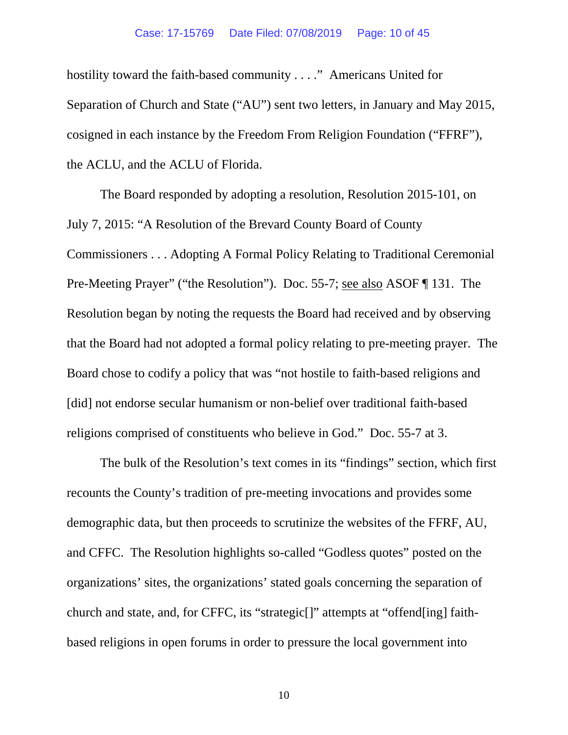## Case: 17-15769 Date Filed: 07/08/2019 Page: 10 of 45

hostility toward the faith-based community . . . ." Americans United for Separation of Church and State ("AU") sent two letters, in January and May 2015, cosigned in each instance by the Freedom From Religion Foundation ("FFRF"), the ACLU, and the ACLU of Florida.

The Board responded by adopting a resolution, Resolution 2015-101, on July 7, 2015: "A Resolution of the Brevard County Board of County Commissioners . . . Adopting A Formal Policy Relating to Traditional Ceremonial Pre-Meeting Prayer" ("the Resolution"). Doc. 55-7; see also ASOF ¶ 131. The Resolution began by noting the requests the Board had received and by observing that the Board had not adopted a formal policy relating to pre-meeting prayer. The Board chose to codify a policy that was "not hostile to faith-based religions and [did] not endorse secular humanism or non-belief over traditional faith-based religions comprised of constituents who believe in God." Doc. 55-7 at 3.

The bulk of the Resolution's text comes in its "findings" section, which first recounts the County's tradition of pre-meeting invocations and provides some demographic data, but then proceeds to scrutinize the websites of the FFRF, AU, and CFFC. The Resolution highlights so-called "Godless quotes" posted on the organizations' sites, the organizations' stated goals concerning the separation of church and state, and, for CFFC, its "strategic[]" attempts at "offend[ing] faithbased religions in open forums in order to pressure the local government into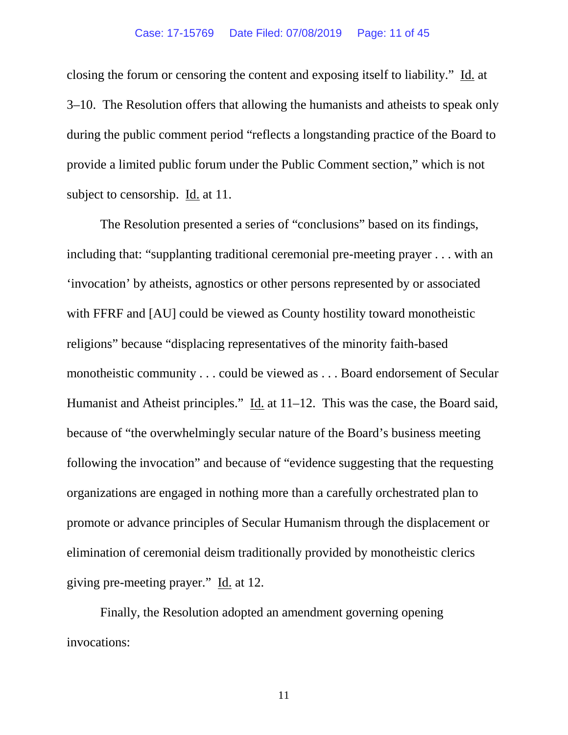## Case: 17-15769 Date Filed: 07/08/2019 Page: 11 of 45

closing the forum or censoring the content and exposing itself to liability." Id. at 3–10. The Resolution offers that allowing the humanists and atheists to speak only during the public comment period "reflects a longstanding practice of the Board to provide a limited public forum under the Public Comment section," which is not subject to censorship. Id. at 11.

The Resolution presented a series of "conclusions" based on its findings, including that: "supplanting traditional ceremonial pre-meeting prayer . . . with an 'invocation' by atheists, agnostics or other persons represented by or associated with FFRF and [AU] could be viewed as County hostility toward monotheistic religions" because "displacing representatives of the minority faith-based monotheistic community . . . could be viewed as . . . Board endorsement of Secular Humanist and Atheist principles." Id. at 11–12. This was the case, the Board said, because of "the overwhelmingly secular nature of the Board's business meeting following the invocation" and because of "evidence suggesting that the requesting organizations are engaged in nothing more than a carefully orchestrated plan to promote or advance principles of Secular Humanism through the displacement or elimination of ceremonial deism traditionally provided by monotheistic clerics giving pre-meeting prayer." Id. at 12.

Finally, the Resolution adopted an amendment governing opening invocations: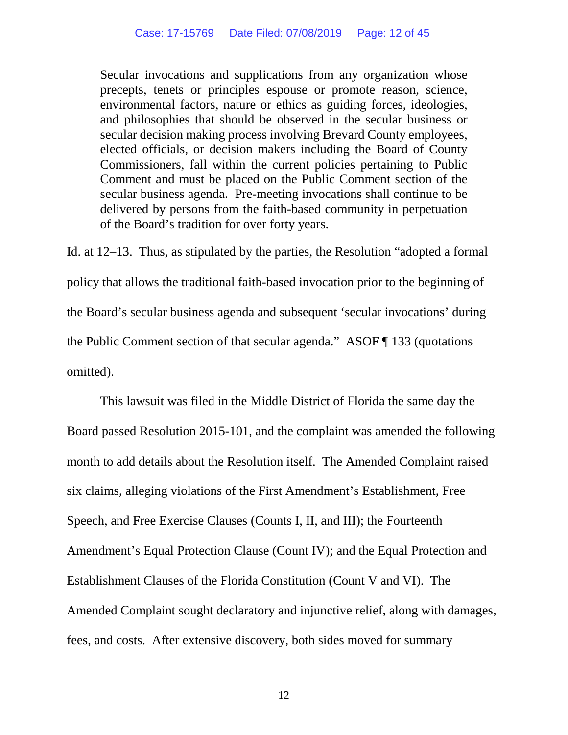Secular invocations and supplications from any organization whose precepts, tenets or principles espouse or promote reason, science, environmental factors, nature or ethics as guiding forces, ideologies, and philosophies that should be observed in the secular business or secular decision making process involving Brevard County employees, elected officials, or decision makers including the Board of County Commissioners, fall within the current policies pertaining to Public Comment and must be placed on the Public Comment section of the secular business agenda. Pre-meeting invocations shall continue to be delivered by persons from the faith-based community in perpetuation of the Board's tradition for over forty years.

Id. at 12–13. Thus, as stipulated by the parties, the Resolution "adopted a formal policy that allows the traditional faith-based invocation prior to the beginning of the Board's secular business agenda and subsequent 'secular invocations' during the Public Comment section of that secular agenda." ASOF ¶ 133 (quotations omitted).

This lawsuit was filed in the Middle District of Florida the same day the Board passed Resolution 2015-101, and the complaint was amended the following month to add details about the Resolution itself. The Amended Complaint raised six claims, alleging violations of the First Amendment's Establishment, Free Speech, and Free Exercise Clauses (Counts I, II, and III); the Fourteenth Amendment's Equal Protection Clause (Count IV); and the Equal Protection and Establishment Clauses of the Florida Constitution (Count V and VI). The Amended Complaint sought declaratory and injunctive relief, along with damages, fees, and costs. After extensive discovery, both sides moved for summary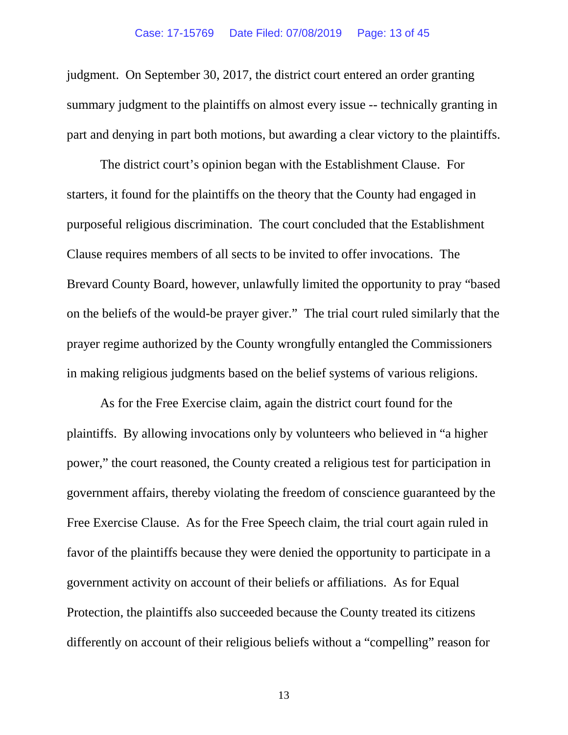judgment. On September 30, 2017, the district court entered an order granting summary judgment to the plaintiffs on almost every issue -- technically granting in part and denying in part both motions, but awarding a clear victory to the plaintiffs.

The district court's opinion began with the Establishment Clause. For starters, it found for the plaintiffs on the theory that the County had engaged in purposeful religious discrimination. The court concluded that the Establishment Clause requires members of all sects to be invited to offer invocations. The Brevard County Board, however, unlawfully limited the opportunity to pray "based on the beliefs of the would-be prayer giver." The trial court ruled similarly that the prayer regime authorized by the County wrongfully entangled the Commissioners in making religious judgments based on the belief systems of various religions.

As for the Free Exercise claim, again the district court found for the plaintiffs. By allowing invocations only by volunteers who believed in "a higher power," the court reasoned, the County created a religious test for participation in government affairs, thereby violating the freedom of conscience guaranteed by the Free Exercise Clause. As for the Free Speech claim, the trial court again ruled in favor of the plaintiffs because they were denied the opportunity to participate in a government activity on account of their beliefs or affiliations. As for Equal Protection, the plaintiffs also succeeded because the County treated its citizens differently on account of their religious beliefs without a "compelling" reason for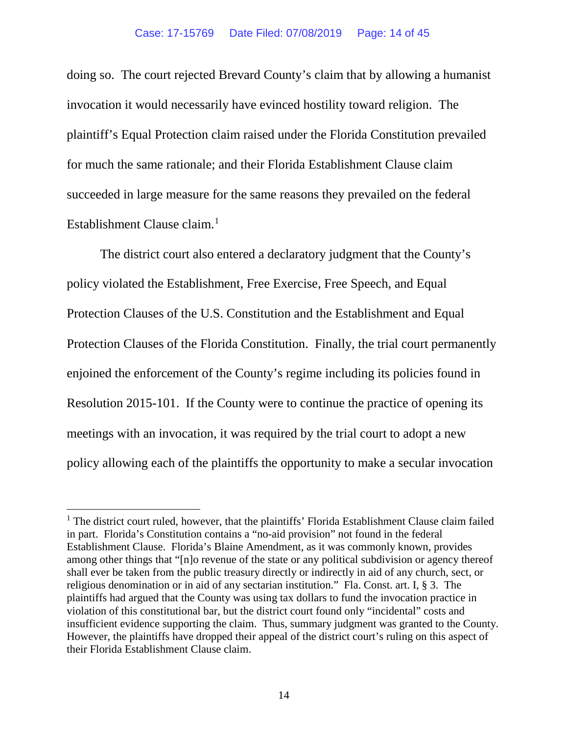doing so. The court rejected Brevard County's claim that by allowing a humanist invocation it would necessarily have evinced hostility toward religion. The plaintiff's Equal Protection claim raised under the Florida Constitution prevailed for much the same rationale; and their Florida Establishment Clause claim succeeded in large measure for the same reasons they prevailed on the federal Establishment Clause claim.<sup>[1](#page-13-0)</sup>

The district court also entered a declaratory judgment that the County's policy violated the Establishment, Free Exercise, Free Speech, and Equal Protection Clauses of the U.S. Constitution and the Establishment and Equal Protection Clauses of the Florida Constitution. Finally, the trial court permanently enjoined the enforcement of the County's regime including its policies found in Resolution 2015-101. If the County were to continue the practice of opening its meetings with an invocation, it was required by the trial court to adopt a new policy allowing each of the plaintiffs the opportunity to make a secular invocation

<span id="page-13-0"></span> $<sup>1</sup>$  The district court ruled, however, that the plaintiffs' Florida Establishment Clause claim failed</sup> in part. Florida's Constitution contains a "no-aid provision" not found in the federal Establishment Clause. Florida's Blaine Amendment, as it was commonly known, provides among other things that "[n]o revenue of the state or any political subdivision or agency thereof shall ever be taken from the public treasury directly or indirectly in aid of any church, sect, or religious denomination or in aid of any sectarian institution." Fla. Const. art. I, § 3. The plaintiffs had argued that the County was using tax dollars to fund the invocation practice in violation of this constitutional bar, but the district court found only "incidental" costs and insufficient evidence supporting the claim. Thus, summary judgment was granted to the County. However, the plaintiffs have dropped their appeal of the district court's ruling on this aspect of their Florida Establishment Clause claim.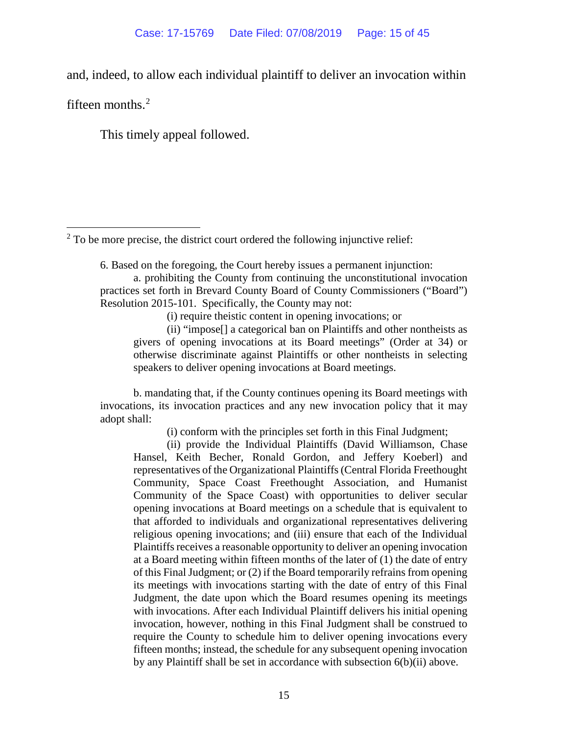and, indeed, to allow each individual plaintiff to deliver an invocation within

fifteen months.<sup>[2](#page-14-0)</sup>

This timely appeal followed.

<span id="page-14-0"></span> $2^2$  To be more precise, the district court ordered the following injunctive relief:

6. Based on the foregoing, the Court hereby issues a permanent injunction:

a. prohibiting the County from continuing the unconstitutional invocation practices set forth in Brevard County Board of County Commissioners ("Board") Resolution 2015-101. Specifically, the County may not:

(i) require theistic content in opening invocations; or

(ii) "impose[] a categorical ban on Plaintiffs and other nontheists as givers of opening invocations at its Board meetings" (Order at 34) or otherwise discriminate against Plaintiffs or other nontheists in selecting speakers to deliver opening invocations at Board meetings.

b. mandating that, if the County continues opening its Board meetings with invocations, its invocation practices and any new invocation policy that it may adopt shall:

(i) conform with the principles set forth in this Final Judgment;

(ii) provide the Individual Plaintiffs (David Williamson, Chase Hansel, Keith Becher, Ronald Gordon, and Jeffery Koeberl) and representatives of the Organizational Plaintiffs (Central Florida Freethought Community, Space Coast Freethought Association, and Humanist Community of the Space Coast) with opportunities to deliver secular opening invocations at Board meetings on a schedule that is equivalent to that afforded to individuals and organizational representatives delivering religious opening invocations; and (iii) ensure that each of the Individual Plaintiffs receives a reasonable opportunity to deliver an opening invocation at a Board meeting within fifteen months of the later of (1) the date of entry of this Final Judgment; or (2) if the Board temporarily refrains from opening its meetings with invocations starting with the date of entry of this Final Judgment, the date upon which the Board resumes opening its meetings with invocations. After each Individual Plaintiff delivers his initial opening invocation, however, nothing in this Final Judgment shall be construed to require the County to schedule him to deliver opening invocations every fifteen months; instead, the schedule for any subsequent opening invocation by any Plaintiff shall be set in accordance with subsection 6(b)(ii) above.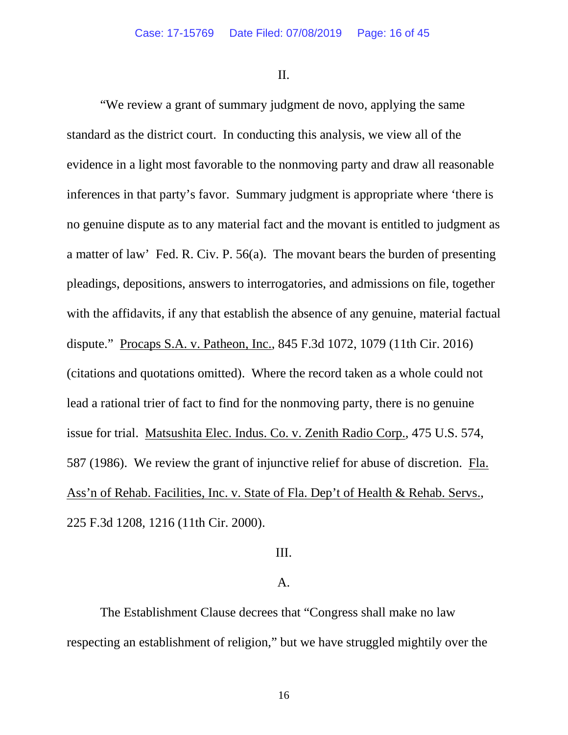II.

"We review a grant of summary judgment de novo, applying the same standard as the district court. In conducting this analysis, we view all of the evidence in a light most favorable to the nonmoving party and draw all reasonable inferences in that party's favor. Summary judgment is appropriate where 'there is no genuine dispute as to any material fact and the movant is entitled to judgment as a matter of law' Fed. R. Civ. P. 56(a). The movant bears the burden of presenting pleadings, depositions, answers to interrogatories, and admissions on file, together with the affidavits, if any that establish the absence of any genuine, material factual dispute." Procaps S.A. v. Patheon, Inc., 845 F.3d 1072, 1079 (11th Cir. 2016) (citations and quotations omitted). Where the record taken as a whole could not lead a rational trier of fact to find for the nonmoving party, there is no genuine issue for trial. Matsushita Elec. Indus. Co. v. Zenith Radio Corp., 475 U.S. 574, 587 (1986). We review the grant of injunctive relief for abuse of discretion. Fla. Ass'n of Rehab. Facilities, Inc. v. State of Fla. Dep't of Health & Rehab. Servs., 225 F.3d 1208, 1216 (11th Cir. 2000).

## III.

## A.

The Establishment Clause decrees that "Congress shall make no law respecting an establishment of religion," but we have struggled mightily over the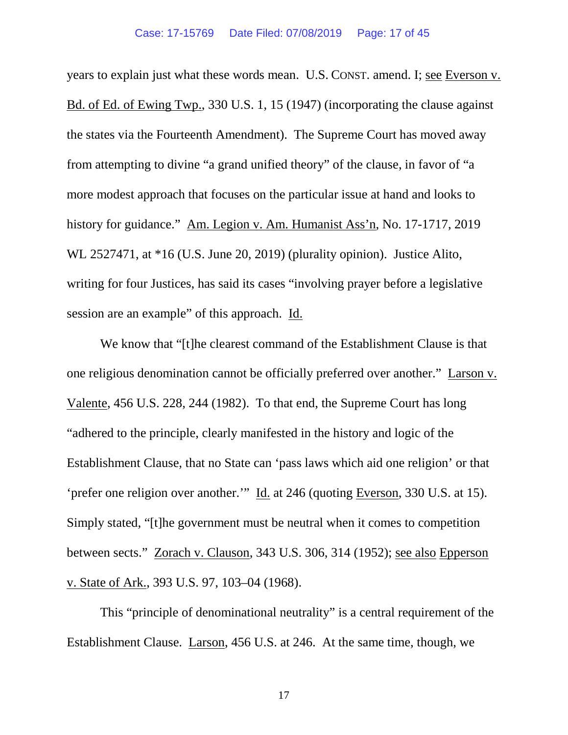years to explain just what these words mean. U.S. CONST. amend. I; see Everson v. Bd. of Ed. of Ewing Twp., 330 U.S. 1, 15 (1947) (incorporating the clause against the states via the Fourteenth Amendment). The Supreme Court has moved away from attempting to divine "a grand unified theory" of the clause, in favor of "a more modest approach that focuses on the particular issue at hand and looks to history for guidance." Am. Legion v. Am. Humanist Ass'n, No. 17-1717, 2019 WL 2527471, at \*16 (U.S. June 20, 2019) (plurality opinion). Justice Alito, writing for four Justices, has said its cases "involving prayer before a legislative session are an example" of this approach. Id.

We know that "[t]he clearest command of the Establishment Clause is that one religious denomination cannot be officially preferred over another." Larson v. Valente, 456 U.S. 228, 244 (1982). To that end, the Supreme Court has long "adhered to the principle, clearly manifested in the history and logic of the Establishment Clause, that no State can 'pass laws which aid one religion' or that 'prefer one religion over another.'" Id. at 246 (quoting Everson, 330 U.S. at 15). Simply stated, "[t]he government must be neutral when it comes to competition between sects." Zorach v. Clauson, 343 U.S. 306, 314 (1952); see also Epperson v. State of Ark., 393 U.S. 97, 103–04 (1968).

This "principle of denominational neutrality" is a central requirement of the Establishment Clause. Larson, 456 U.S. at 246. At the same time, though, we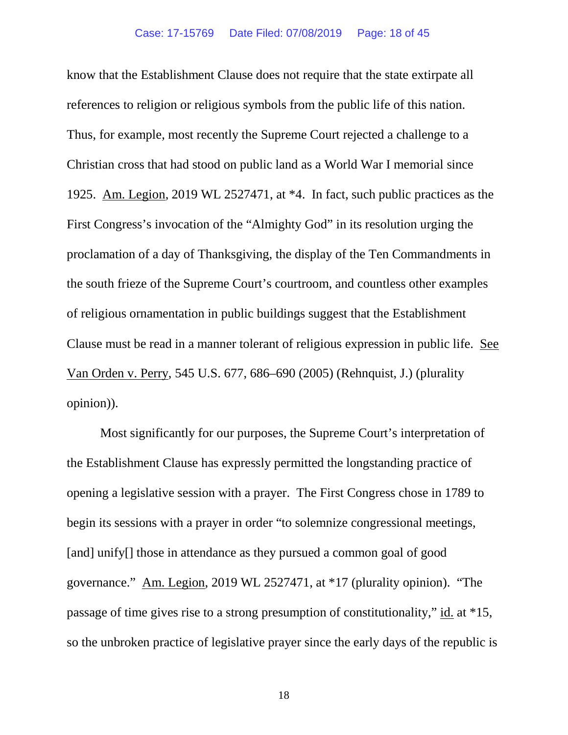know that the Establishment Clause does not require that the state extirpate all references to religion or religious symbols from the public life of this nation. Thus, for example, most recently the Supreme Court rejected a challenge to a Christian cross that had stood on public land as a World War I memorial since 1925. Am. Legion, 2019 WL 2527471, at \*4. In fact, such public practices as the First Congress's invocation of the "Almighty God" in its resolution urging the proclamation of a day of Thanksgiving, the display of the Ten Commandments in the south frieze of the Supreme Court's courtroom, and countless other examples of religious ornamentation in public buildings suggest that the Establishment Clause must be read in a manner tolerant of religious expression in public life. See Van Orden v. Perry, 545 U.S. 677, 686–690 (2005) (Rehnquist, J.) (plurality opinion)).

Most significantly for our purposes, the Supreme Court's interpretation of the Establishment Clause has expressly permitted the longstanding practice of opening a legislative session with a prayer. The First Congress chose in 1789 to begin its sessions with a prayer in order "to solemnize congressional meetings, [and] unify<sup>[]</sup> those in attendance as they pursued a common goal of good governance." Am. Legion, 2019 WL 2527471, at \*17 (plurality opinion). "The passage of time gives rise to a strong presumption of constitutionality," id. at \*15, so the unbroken practice of legislative prayer since the early days of the republic is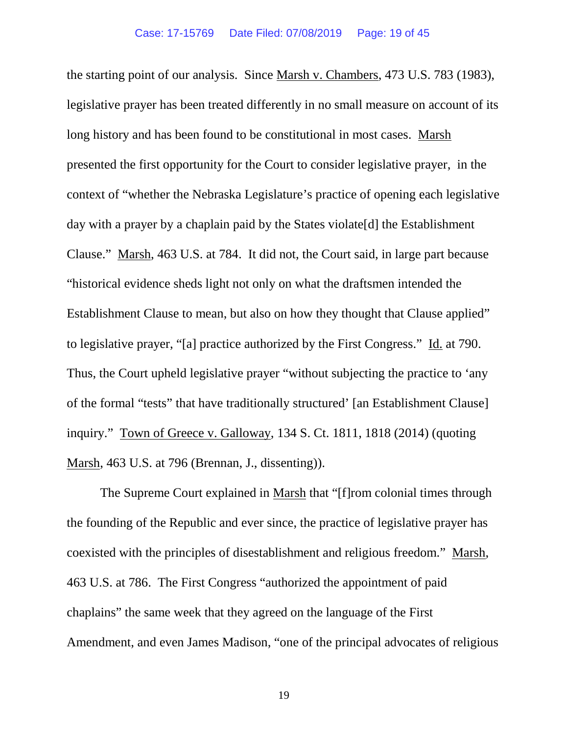the starting point of our analysis. Since Marsh v. Chambers, 473 U.S. 783 (1983), legislative prayer has been treated differently in no small measure on account of its long history and has been found to be constitutional in most cases. Marsh presented the first opportunity for the Court to consider legislative prayer, in the context of "whether the Nebraska Legislature's practice of opening each legislative day with a prayer by a chaplain paid by the States violate[d] the Establishment Clause." Marsh, 463 U.S. at 784. It did not, the Court said, in large part because "historical evidence sheds light not only on what the draftsmen intended the Establishment Clause to mean, but also on how they thought that Clause applied" to legislative prayer, "[a] practice authorized by the First Congress." Id. at 790. Thus, the Court upheld legislative prayer "without subjecting the practice to 'any of the formal "tests" that have traditionally structured' [an Establishment Clause] inquiry." Town of Greece v. Galloway, 134 S. Ct. 1811, 1818 (2014) (quoting Marsh, 463 U.S. at 796 (Brennan, J., dissenting)).

The Supreme Court explained in Marsh that "[f]rom colonial times through the founding of the Republic and ever since, the practice of legislative prayer has coexisted with the principles of disestablishment and religious freedom." Marsh, 463 U.S. at 786. The First Congress "authorized the appointment of paid chaplains" the same week that they agreed on the language of the First Amendment, and even James Madison, "one of the principal advocates of religious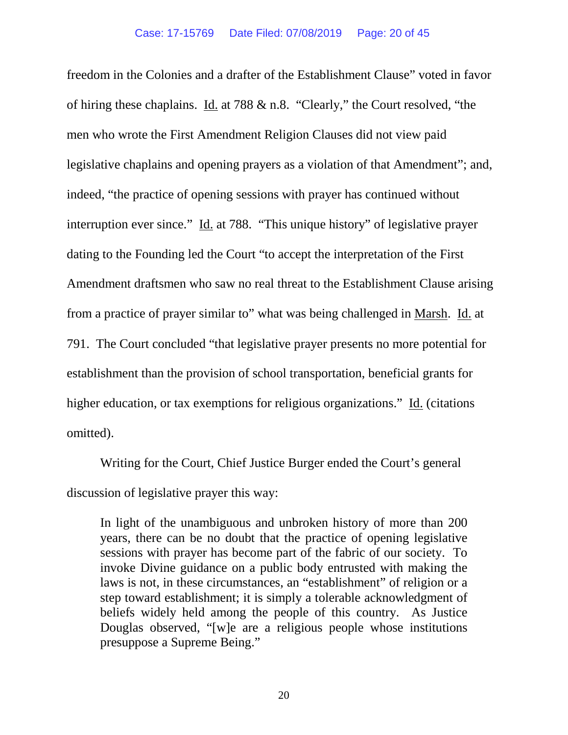freedom in the Colonies and a drafter of the Establishment Clause" voted in favor of hiring these chaplains. Id. at 788 & n.8. "Clearly," the Court resolved, "the men who wrote the First Amendment Religion Clauses did not view paid legislative chaplains and opening prayers as a violation of that Amendment"; and, indeed, "the practice of opening sessions with prayer has continued without interruption ever since." Id. at 788. "This unique history" of legislative prayer dating to the Founding led the Court "to accept the interpretation of the First Amendment draftsmen who saw no real threat to the Establishment Clause arising from a practice of prayer similar to" what was being challenged in Marsh. Id. at 791. The Court concluded "that legislative prayer presents no more potential for establishment than the provision of school transportation, beneficial grants for higher education, or tax exemptions for religious organizations." Id. (citations omitted).

Writing for the Court, Chief Justice Burger ended the Court's general discussion of legislative prayer this way:

In light of the unambiguous and unbroken history of more than 200 years, there can be no doubt that the practice of opening legislative sessions with prayer has become part of the fabric of our society. To invoke Divine guidance on a public body entrusted with making the laws is not, in these circumstances, an "establishment" of religion or a step toward establishment; it is simply a tolerable acknowledgment of beliefs widely held among the people of this country. As Justice Douglas observed, "[w]e are a religious people whose institutions presuppose a Supreme Being."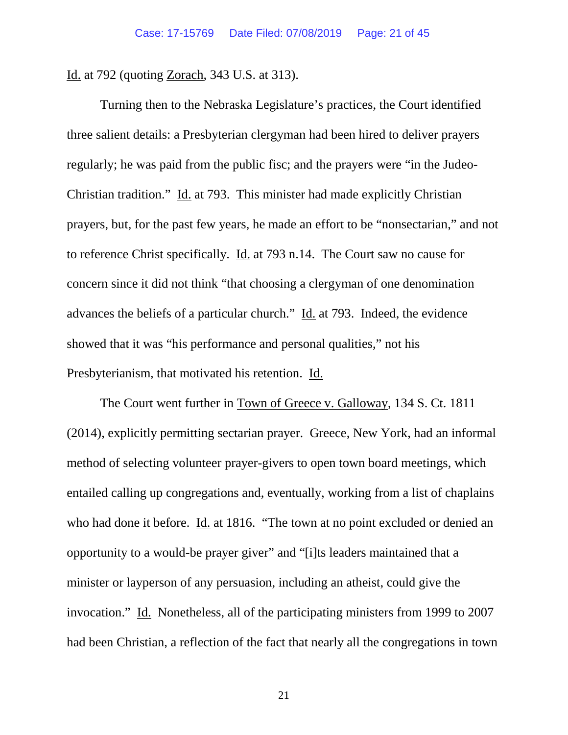Id. at 792 (quoting Zorach, 343 U.S. at 313).

Turning then to the Nebraska Legislature's practices, the Court identified three salient details: a Presbyterian clergyman had been hired to deliver prayers regularly; he was paid from the public fisc; and the prayers were "in the Judeo-Christian tradition." Id. at 793. This minister had made explicitly Christian prayers, but, for the past few years, he made an effort to be "nonsectarian," and not to reference Christ specifically. Id. at 793 n.14. The Court saw no cause for concern since it did not think "that choosing a clergyman of one denomination advances the beliefs of a particular church." Id. at 793. Indeed, the evidence showed that it was "his performance and personal qualities," not his Presbyterianism, that motivated his retention. Id.

The Court went further in Town of Greece v. Galloway, 134 S. Ct. 1811 (2014), explicitly permitting sectarian prayer. Greece, New York, had an informal method of selecting volunteer prayer-givers to open town board meetings, which entailed calling up congregations and, eventually, working from a list of chaplains who had done it before. Id. at 1816. "The town at no point excluded or denied an opportunity to a would-be prayer giver" and "[i]ts leaders maintained that a minister or layperson of any persuasion, including an atheist, could give the invocation." Id. Nonetheless, all of the participating ministers from 1999 to 2007 had been Christian, a reflection of the fact that nearly all the congregations in town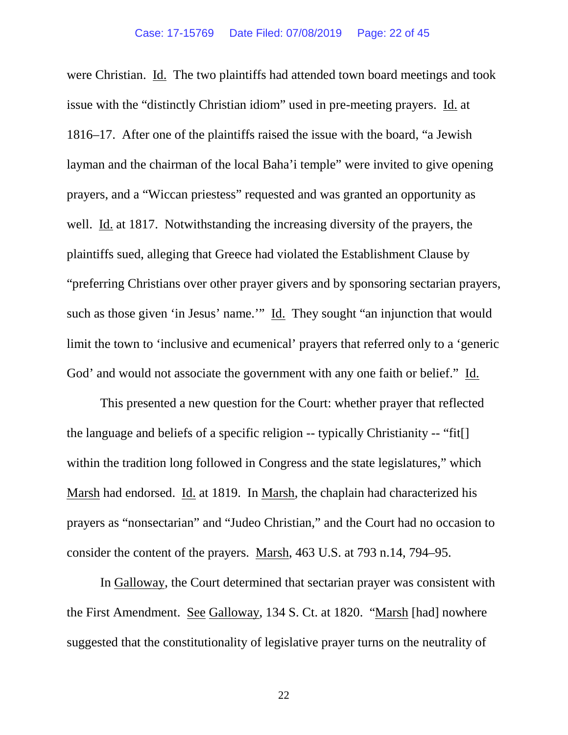were Christian. Id. The two plaintiffs had attended town board meetings and took issue with the "distinctly Christian idiom" used in pre-meeting prayers. Id. at 1816–17. After one of the plaintiffs raised the issue with the board, "a Jewish layman and the chairman of the local Baha'i temple" were invited to give opening prayers, and a "Wiccan priestess" requested and was granted an opportunity as well. Id. at 1817. Notwithstanding the increasing diversity of the prayers, the plaintiffs sued, alleging that Greece had violated the Establishment Clause by "preferring Christians over other prayer givers and by sponsoring sectarian prayers, such as those given 'in Jesus' name." Id. They sought "an injunction that would limit the town to 'inclusive and ecumenical' prayers that referred only to a 'generic God' and would not associate the government with any one faith or belief." Id.

This presented a new question for the Court: whether prayer that reflected the language and beliefs of a specific religion -- typically Christianity -- "fit[] within the tradition long followed in Congress and the state legislatures," which Marsh had endorsed. Id. at 1819. In Marsh, the chaplain had characterized his prayers as "nonsectarian" and "Judeo Christian," and the Court had no occasion to consider the content of the prayers. Marsh, 463 U.S. at 793 n.14, 794–95.

In Galloway, the Court determined that sectarian prayer was consistent with the First Amendment. See Galloway, 134 S. Ct. at 1820. "Marsh [had] nowhere suggested that the constitutionality of legislative prayer turns on the neutrality of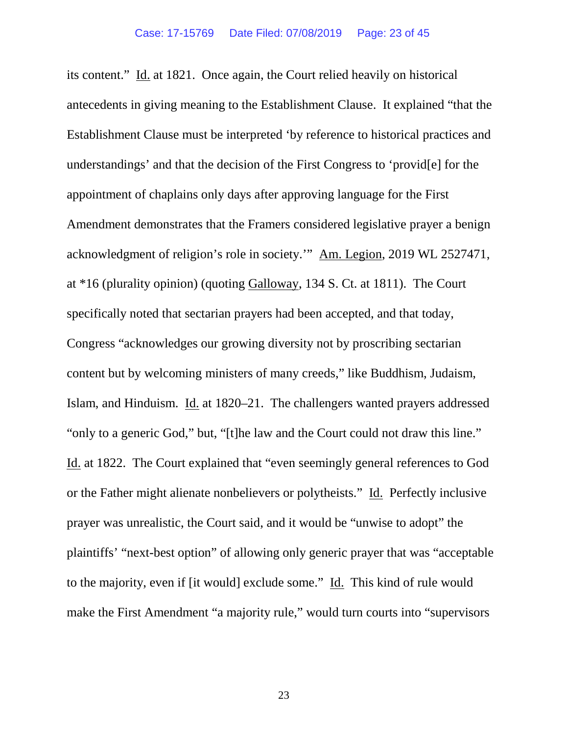its content." Id. at 1821. Once again, the Court relied heavily on historical antecedents in giving meaning to the Establishment Clause. It explained "that the Establishment Clause must be interpreted 'by reference to historical practices and understandings' and that the decision of the First Congress to 'provid[e] for the appointment of chaplains only days after approving language for the First Amendment demonstrates that the Framers considered legislative prayer a benign acknowledgment of religion's role in society.'" Am. Legion, 2019 WL 2527471, at \*16 (plurality opinion) (quoting Galloway, 134 S. Ct. at 1811). The Court specifically noted that sectarian prayers had been accepted, and that today, Congress "acknowledges our growing diversity not by proscribing sectarian content but by welcoming ministers of many creeds," like Buddhism, Judaism, Islam, and Hinduism. Id. at 1820–21. The challengers wanted prayers addressed "only to a generic God," but, "[t]he law and the Court could not draw this line." Id. at 1822. The Court explained that "even seemingly general references to God or the Father might alienate nonbelievers or polytheists." Id. Perfectly inclusive prayer was unrealistic, the Court said, and it would be "unwise to adopt" the plaintiffs' "next-best option" of allowing only generic prayer that was "acceptable to the majority, even if [it would] exclude some." Id. This kind of rule would make the First Amendment "a majority rule," would turn courts into "supervisors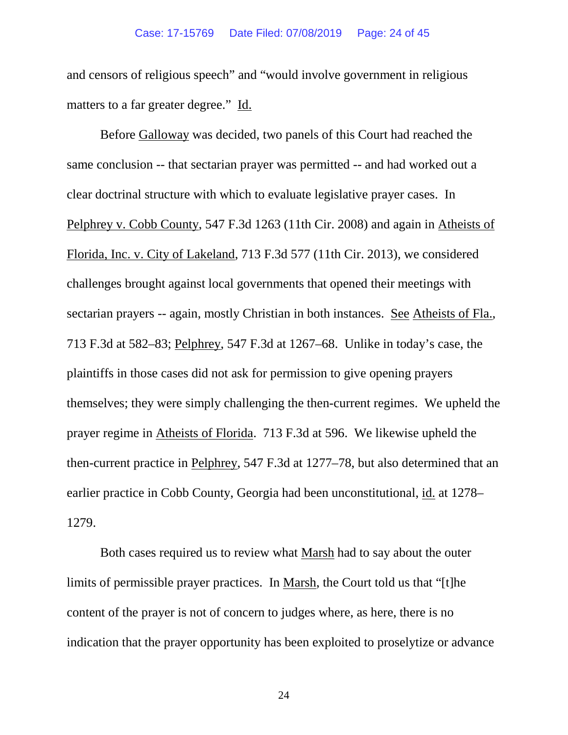and censors of religious speech" and "would involve government in religious matters to a far greater degree." Id.

Before Galloway was decided, two panels of this Court had reached the same conclusion -- that sectarian prayer was permitted -- and had worked out a clear doctrinal structure with which to evaluate legislative prayer cases. In Pelphrey v. Cobb County, 547 F.3d 1263 (11th Cir. 2008) and again in Atheists of Florida, Inc. v. City of Lakeland, 713 F.3d 577 (11th Cir. 2013), we considered challenges brought against local governments that opened their meetings with sectarian prayers -- again, mostly Christian in both instances. See Atheists of Fla., 713 F.3d at 582–83; Pelphrey, 547 F.3d at 1267–68. Unlike in today's case, the plaintiffs in those cases did not ask for permission to give opening prayers themselves; they were simply challenging the then-current regimes. We upheld the prayer regime in Atheists of Florida. 713 F.3d at 596. We likewise upheld the then-current practice in Pelphrey, 547 F.3d at 1277–78, but also determined that an earlier practice in Cobb County, Georgia had been unconstitutional, id. at 1278– 1279.

Both cases required us to review what Marsh had to say about the outer limits of permissible prayer practices. In Marsh, the Court told us that "[t]he content of the prayer is not of concern to judges where, as here, there is no indication that the prayer opportunity has been exploited to proselytize or advance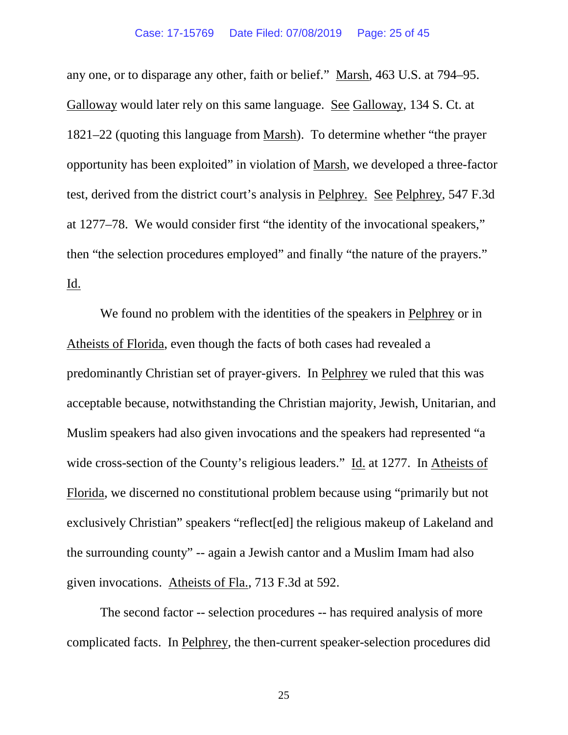any one, or to disparage any other, faith or belief." Marsh, 463 U.S. at 794–95. Galloway would later rely on this same language. See Galloway, 134 S. Ct. at 1821–22 (quoting this language from Marsh). To determine whether "the prayer opportunity has been exploited" in violation of Marsh, we developed a three-factor test, derived from the district court's analysis in Pelphrey. See Pelphrey, 547 F.3d at 1277–78. We would consider first "the identity of the invocational speakers," then "the selection procedures employed" and finally "the nature of the prayers." Id.

We found no problem with the identities of the speakers in Pelphrey or in Atheists of Florida, even though the facts of both cases had revealed a predominantly Christian set of prayer-givers. In Pelphrey we ruled that this was acceptable because, notwithstanding the Christian majority, Jewish, Unitarian, and Muslim speakers had also given invocations and the speakers had represented "a wide cross-section of the County's religious leaders." Id. at 1277. In Atheists of Florida, we discerned no constitutional problem because using "primarily but not exclusively Christian" speakers "reflect[ed] the religious makeup of Lakeland and the surrounding county" -- again a Jewish cantor and a Muslim Imam had also given invocations. Atheists of Fla., 713 F.3d at 592.

The second factor -- selection procedures -- has required analysis of more complicated facts. In Pelphrey, the then-current speaker-selection procedures did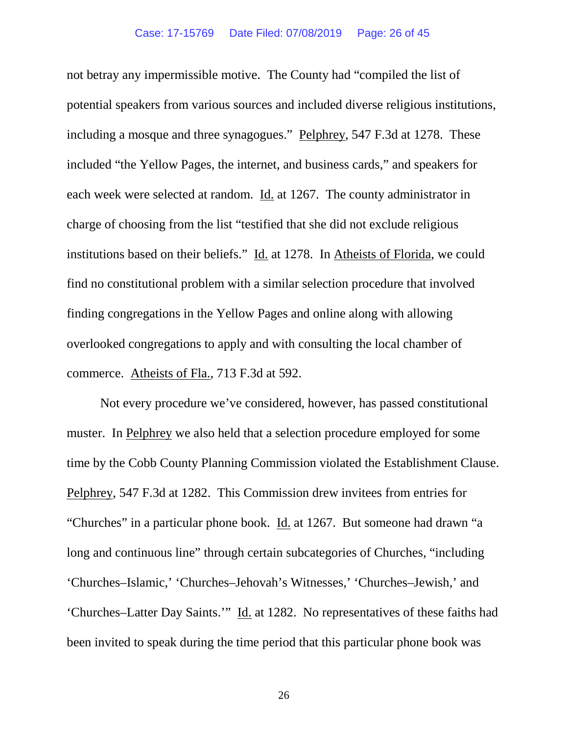not betray any impermissible motive. The County had "compiled the list of potential speakers from various sources and included diverse religious institutions, including a mosque and three synagogues." Pelphrey, 547 F.3d at 1278. These included "the Yellow Pages, the internet, and business cards," and speakers for each week were selected at random. Id. at 1267. The county administrator in charge of choosing from the list "testified that she did not exclude religious institutions based on their beliefs." Id. at 1278. In Atheists of Florida, we could find no constitutional problem with a similar selection procedure that involved finding congregations in the Yellow Pages and online along with allowing overlooked congregations to apply and with consulting the local chamber of commerce. Atheists of Fla., 713 F.3d at 592.

Not every procedure we've considered, however, has passed constitutional muster. In Pelphrey we also held that a selection procedure employed for some time by the Cobb County Planning Commission violated the Establishment Clause. Pelphrey, 547 F.3d at 1282. This Commission drew invitees from entries for "Churches" in a particular phone book. Id. at 1267. But someone had drawn "a long and continuous line" through certain subcategories of Churches, "including 'Churches–Islamic,' 'Churches–Jehovah's Witnesses,' 'Churches–Jewish,' and 'Churches–Latter Day Saints.'" Id. at 1282. No representatives of these faiths had been invited to speak during the time period that this particular phone book was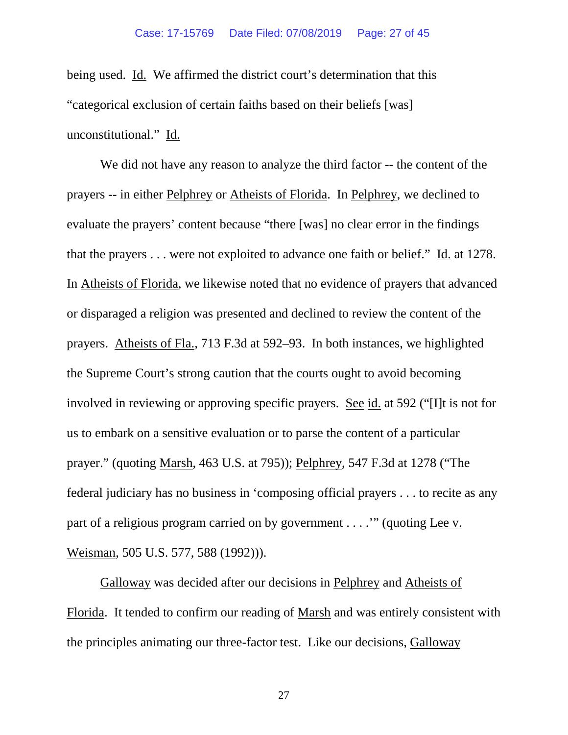being used. Id. We affirmed the district court's determination that this "categorical exclusion of certain faiths based on their beliefs [was] unconstitutional." Id.

We did not have any reason to analyze the third factor -- the content of the prayers -- in either Pelphrey or Atheists of Florida. In Pelphrey, we declined to evaluate the prayers' content because "there [was] no clear error in the findings that the prayers . . . were not exploited to advance one faith or belief." Id. at 1278. In Atheists of Florida, we likewise noted that no evidence of prayers that advanced or disparaged a religion was presented and declined to review the content of the prayers. Atheists of Fla., 713 F.3d at 592–93. In both instances, we highlighted the Supreme Court's strong caution that the courts ought to avoid becoming involved in reviewing or approving specific prayers. See id. at 592 ("[I]t is not for us to embark on a sensitive evaluation or to parse the content of a particular prayer." (quoting Marsh, 463 U.S. at 795)); Pelphrey, 547 F.3d at 1278 ("The federal judiciary has no business in 'composing official prayers . . . to recite as any part of a religious program carried on by government . . . .'" (quoting Lee v. Weisman, 505 U.S. 577, 588 (1992))).

Galloway was decided after our decisions in Pelphrey and Atheists of Florida. It tended to confirm our reading of Marsh and was entirely consistent with the principles animating our three-factor test. Like our decisions, Galloway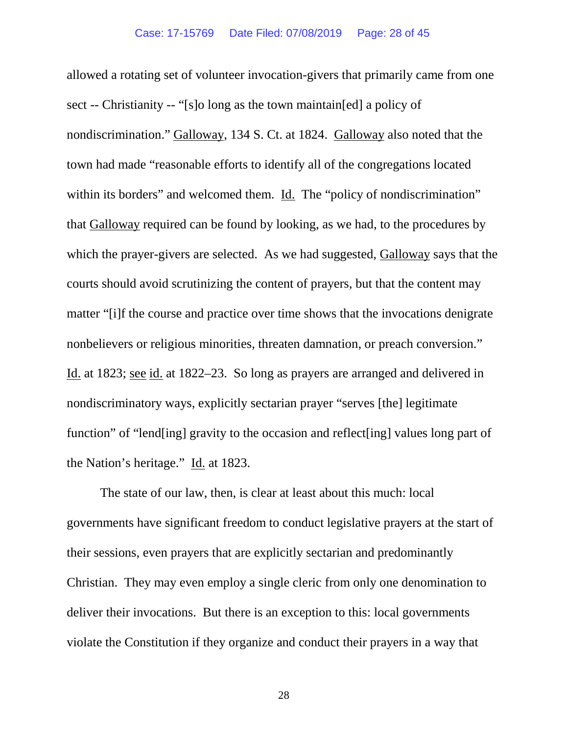allowed a rotating set of volunteer invocation-givers that primarily came from one sect -- Christianity -- "[s]o long as the town maintain[ed] a policy of nondiscrimination." Galloway, 134 S. Ct. at 1824. Galloway also noted that the town had made "reasonable efforts to identify all of the congregations located within its borders" and welcomed them. Id. The "policy of nondiscrimination" that Galloway required can be found by looking, as we had, to the procedures by which the prayer-givers are selected. As we had suggested, Galloway says that the courts should avoid scrutinizing the content of prayers, but that the content may matter "[i]f the course and practice over time shows that the invocations denigrate nonbelievers or religious minorities, threaten damnation, or preach conversion." Id. at 1823; see id. at 1822–23. So long as prayers are arranged and delivered in nondiscriminatory ways, explicitly sectarian prayer "serves [the] legitimate function" of "lend[ing] gravity to the occasion and reflect[ing] values long part of the Nation's heritage." Id. at 1823.

The state of our law, then, is clear at least about this much: local governments have significant freedom to conduct legislative prayers at the start of their sessions, even prayers that are explicitly sectarian and predominantly Christian. They may even employ a single cleric from only one denomination to deliver their invocations. But there is an exception to this: local governments violate the Constitution if they organize and conduct their prayers in a way that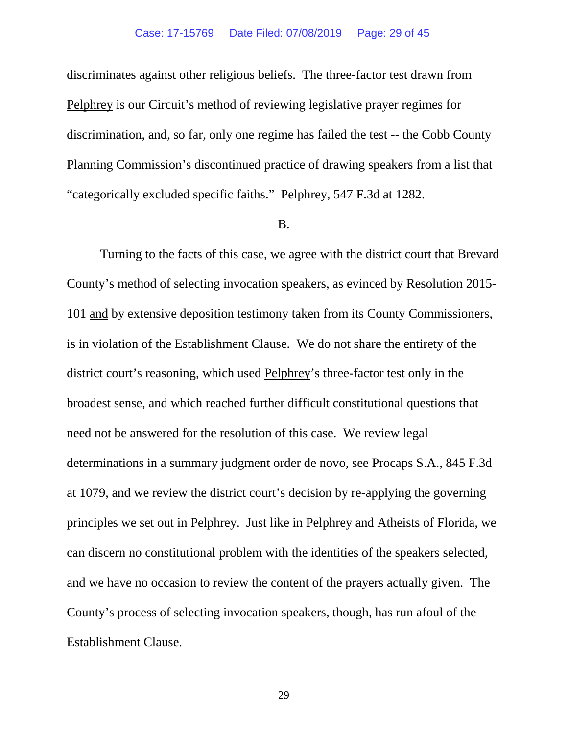## Case: 17-15769 Date Filed: 07/08/2019 Page: 29 of 45

discriminates against other religious beliefs. The three-factor test drawn from Pelphrey is our Circuit's method of reviewing legislative prayer regimes for discrimination, and, so far, only one regime has failed the test -- the Cobb County Planning Commission's discontinued practice of drawing speakers from a list that "categorically excluded specific faiths." Pelphrey, 547 F.3d at 1282.

#### B.

Turning to the facts of this case, we agree with the district court that Brevard County's method of selecting invocation speakers, as evinced by Resolution 2015- 101 and by extensive deposition testimony taken from its County Commissioners, is in violation of the Establishment Clause. We do not share the entirety of the district court's reasoning, which used Pelphrey's three-factor test only in the broadest sense, and which reached further difficult constitutional questions that need not be answered for the resolution of this case. We review legal determinations in a summary judgment order de novo, see Procaps S.A., 845 F.3d at 1079, and we review the district court's decision by re-applying the governing principles we set out in Pelphrey. Just like in Pelphrey and Atheists of Florida, we can discern no constitutional problem with the identities of the speakers selected, and we have no occasion to review the content of the prayers actually given. The County's process of selecting invocation speakers, though, has run afoul of the Establishment Clause.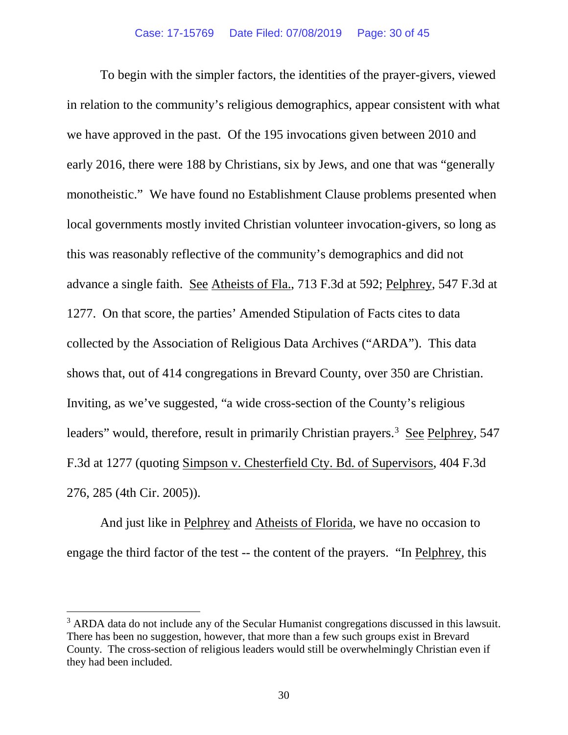To begin with the simpler factors, the identities of the prayer-givers, viewed in relation to the community's religious demographics, appear consistent with what we have approved in the past. Of the 195 invocations given between 2010 and early 2016, there were 188 by Christians, six by Jews, and one that was "generally monotheistic." We have found no Establishment Clause problems presented when local governments mostly invited Christian volunteer invocation-givers, so long as this was reasonably reflective of the community's demographics and did not advance a single faith. See Atheists of Fla., 713 F.3d at 592; Pelphrey, 547 F.3d at 1277. On that score, the parties' Amended Stipulation of Facts cites to data collected by the Association of Religious Data Archives ("ARDA"). This data shows that, out of 414 congregations in Brevard County, over 350 are Christian. Inviting, as we've suggested, "a wide cross-section of the County's religious leaders" would, therefore, result in primarily Christian prayers.<sup>[3](#page-29-0)</sup> See Pelphrey, 547 F.3d at 1277 (quoting Simpson v. Chesterfield Cty. Bd. of Supervisors, 404 F.3d 276, 285 (4th Cir. 2005)).

And just like in Pelphrey and Atheists of Florida, we have no occasion to engage the third factor of the test -- the content of the prayers. "In Pelphrey, this

<span id="page-29-0"></span> $3$  ARDA data do not include any of the Secular Humanist congregations discussed in this lawsuit. There has been no suggestion, however, that more than a few such groups exist in Brevard County. The cross-section of religious leaders would still be overwhelmingly Christian even if they had been included.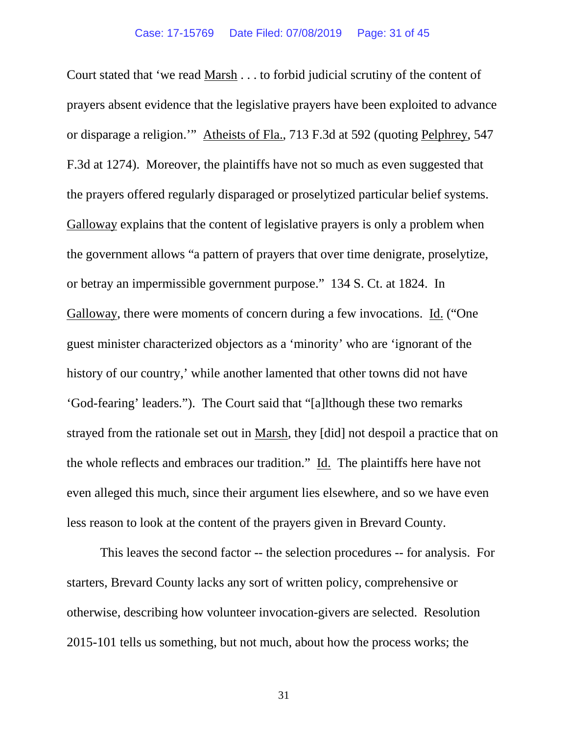Court stated that 'we read Marsh . . . to forbid judicial scrutiny of the content of prayers absent evidence that the legislative prayers have been exploited to advance or disparage a religion.'" Atheists of Fla., 713 F.3d at 592 (quoting Pelphrey, 547 F.3d at 1274). Moreover, the plaintiffs have not so much as even suggested that the prayers offered regularly disparaged or proselytized particular belief systems. Galloway explains that the content of legislative prayers is only a problem when the government allows "a pattern of prayers that over time denigrate, proselytize, or betray an impermissible government purpose." 134 S. Ct. at 1824. In Galloway, there were moments of concern during a few invocations. Id. ("One guest minister characterized objectors as a 'minority' who are 'ignorant of the history of our country,' while another lamented that other towns did not have 'God-fearing' leaders."). The Court said that "[a]lthough these two remarks strayed from the rationale set out in Marsh, they [did] not despoil a practice that on the whole reflects and embraces our tradition." Id. The plaintiffs here have not even alleged this much, since their argument lies elsewhere, and so we have even less reason to look at the content of the prayers given in Brevard County.

This leaves the second factor -- the selection procedures -- for analysis. For starters, Brevard County lacks any sort of written policy, comprehensive or otherwise, describing how volunteer invocation-givers are selected. Resolution 2015-101 tells us something, but not much, about how the process works; the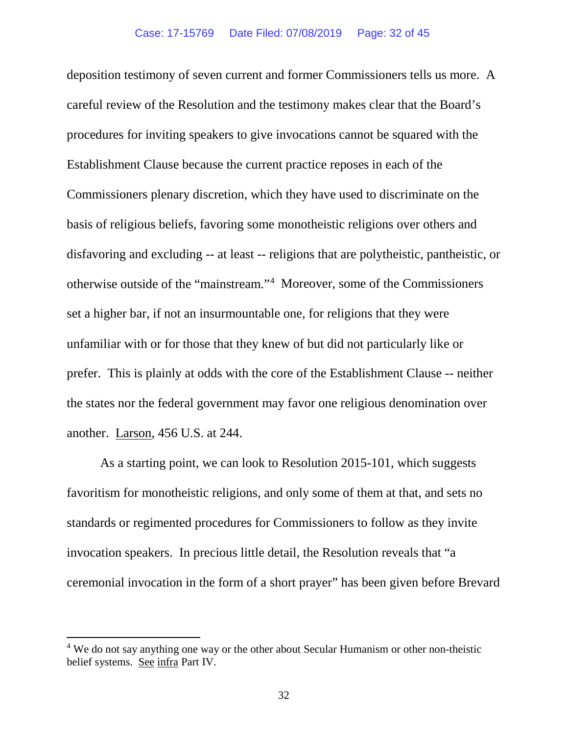deposition testimony of seven current and former Commissioners tells us more. A careful review of the Resolution and the testimony makes clear that the Board's procedures for inviting speakers to give invocations cannot be squared with the Establishment Clause because the current practice reposes in each of the Commissioners plenary discretion, which they have used to discriminate on the basis of religious beliefs, favoring some monotheistic religions over others and disfavoring and excluding -- at least -- religions that are polytheistic, pantheistic, or otherwise outside of the "mainstream."[4](#page-31-0) Moreover, some of the Commissioners set a higher bar, if not an insurmountable one, for religions that they were unfamiliar with or for those that they knew of but did not particularly like or prefer. This is plainly at odds with the core of the Establishment Clause -- neither the states nor the federal government may favor one religious denomination over another. Larson, 456 U.S. at 244.

As a starting point, we can look to Resolution 2015-101, which suggests favoritism for monotheistic religions, and only some of them at that, and sets no standards or regimented procedures for Commissioners to follow as they invite invocation speakers. In precious little detail, the Resolution reveals that "a ceremonial invocation in the form of a short prayer" has been given before Brevard

<span id="page-31-0"></span><sup>&</sup>lt;sup>4</sup> We do not say anything one way or the other about Secular Humanism or other non-theistic belief systems. See infra Part IV.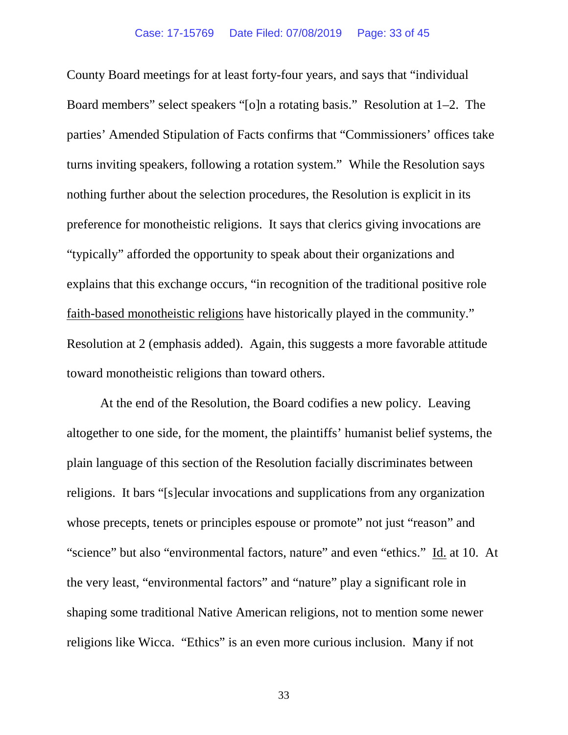County Board meetings for at least forty-four years, and says that "individual Board members" select speakers "[o]n a rotating basis." Resolution at 1–2. The parties' Amended Stipulation of Facts confirms that "Commissioners' offices take turns inviting speakers, following a rotation system." While the Resolution says nothing further about the selection procedures, the Resolution is explicit in its preference for monotheistic religions. It says that clerics giving invocations are "typically" afforded the opportunity to speak about their organizations and explains that this exchange occurs, "in recognition of the traditional positive role faith-based monotheistic religions have historically played in the community." Resolution at 2 (emphasis added). Again, this suggests a more favorable attitude toward monotheistic religions than toward others.

At the end of the Resolution, the Board codifies a new policy. Leaving altogether to one side, for the moment, the plaintiffs' humanist belief systems, the plain language of this section of the Resolution facially discriminates between religions. It bars "[s]ecular invocations and supplications from any organization whose precepts, tenets or principles espouse or promote" not just "reason" and "science" but also "environmental factors, nature" and even "ethics." Id. at 10. At the very least, "environmental factors" and "nature" play a significant role in shaping some traditional Native American religions, not to mention some newer religions like Wicca. "Ethics" is an even more curious inclusion. Many if not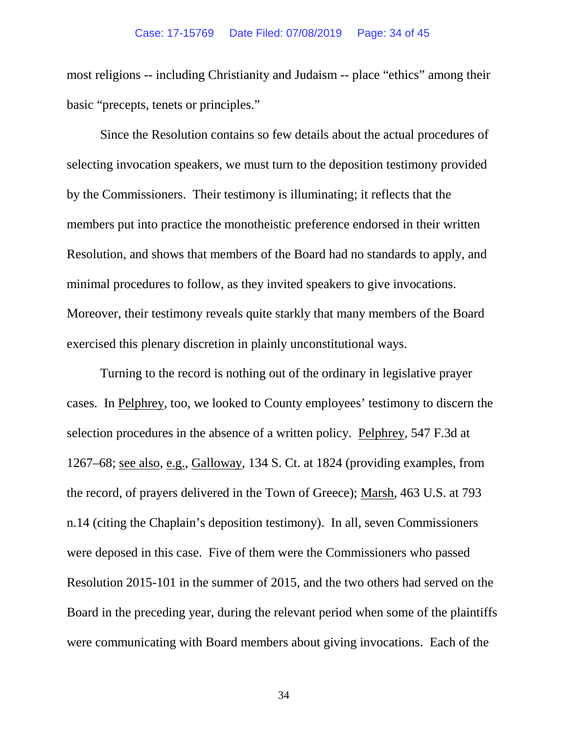most religions -- including Christianity and Judaism -- place "ethics" among their basic "precepts, tenets or principles."

Since the Resolution contains so few details about the actual procedures of selecting invocation speakers, we must turn to the deposition testimony provided by the Commissioners. Their testimony is illuminating; it reflects that the members put into practice the monotheistic preference endorsed in their written Resolution, and shows that members of the Board had no standards to apply, and minimal procedures to follow, as they invited speakers to give invocations. Moreover, their testimony reveals quite starkly that many members of the Board exercised this plenary discretion in plainly unconstitutional ways.

Turning to the record is nothing out of the ordinary in legislative prayer cases. In Pelphrey, too, we looked to County employees' testimony to discern the selection procedures in the absence of a written policy. Pelphrey, 547 F.3d at 1267–68; see also, e.g., Galloway, 134 S. Ct. at 1824 (providing examples, from the record, of prayers delivered in the Town of Greece); Marsh, 463 U.S. at 793 n.14 (citing the Chaplain's deposition testimony). In all, seven Commissioners were deposed in this case. Five of them were the Commissioners who passed Resolution 2015-101 in the summer of 2015, and the two others had served on the Board in the preceding year, during the relevant period when some of the plaintiffs were communicating with Board members about giving invocations. Each of the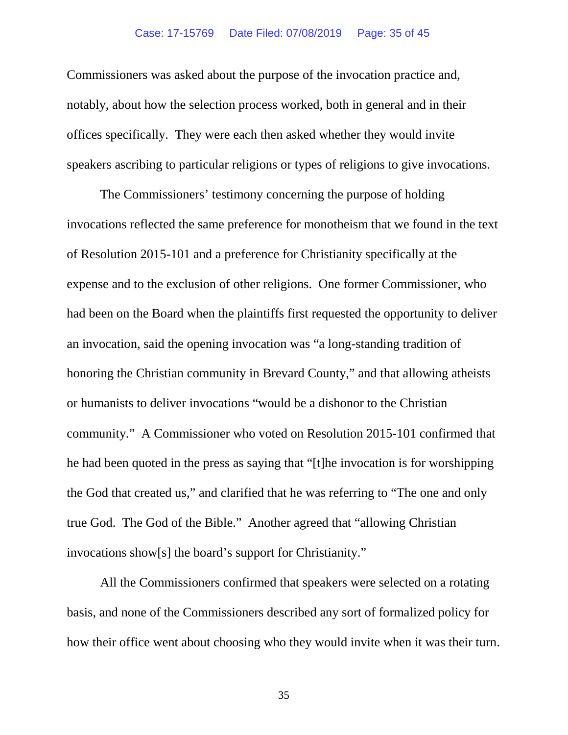## Case: 17-15769 Date Filed: 07/08/2019 Page: 35 of 45

Commissioners was asked about the purpose of the invocation practice and, notably, about how the selection process worked, both in general and in their offices specifically. They were each then asked whether they would invite speakers ascribing to particular religions or types of religions to give invocations.

The Commissioners' testimony concerning the purpose of holding invocations reflected the same preference for monotheism that we found in the text of Resolution 2015-101 and a preference for Christianity specifically at the expense and to the exclusion of other religions. One former Commissioner, who had been on the Board when the plaintiffs first requested the opportunity to deliver an invocation, said the opening invocation was "a long-standing tradition of honoring the Christian community in Brevard County," and that allowing atheists or humanists to deliver invocations "would be a dishonor to the Christian community." A Commissioner who voted on Resolution 2015-101 confirmed that he had been quoted in the press as saying that "[t]he invocation is for worshipping the God that created us," and clarified that he was referring to "The one and only true God. The God of the Bible." Another agreed that "allowing Christian invocations show[s] the board's support for Christianity."

All the Commissioners confirmed that speakers were selected on a rotating basis, and none of the Commissioners described any sort of formalized policy for how their office went about choosing who they would invite when it was their turn.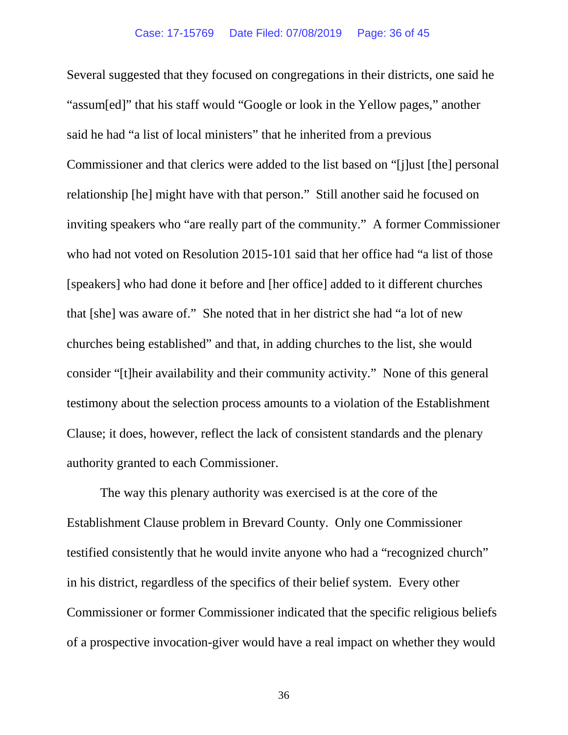Several suggested that they focused on congregations in their districts, one said he "assum[ed]" that his staff would "Google or look in the Yellow pages," another said he had "a list of local ministers" that he inherited from a previous Commissioner and that clerics were added to the list based on "[j]ust [the] personal relationship [he] might have with that person." Still another said he focused on inviting speakers who "are really part of the community." A former Commissioner who had not voted on Resolution 2015-101 said that her office had "a list of those [speakers] who had done it before and [her office] added to it different churches that [she] was aware of." She noted that in her district she had "a lot of new churches being established" and that, in adding churches to the list, she would consider "[t]heir availability and their community activity." None of this general testimony about the selection process amounts to a violation of the Establishment Clause; it does, however, reflect the lack of consistent standards and the plenary authority granted to each Commissioner.

The way this plenary authority was exercised is at the core of the Establishment Clause problem in Brevard County. Only one Commissioner testified consistently that he would invite anyone who had a "recognized church" in his district, regardless of the specifics of their belief system. Every other Commissioner or former Commissioner indicated that the specific religious beliefs of a prospective invocation-giver would have a real impact on whether they would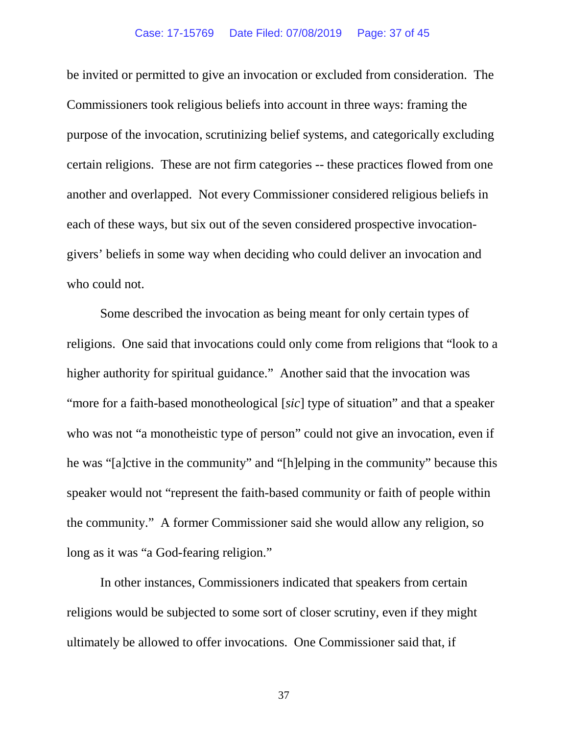be invited or permitted to give an invocation or excluded from consideration. The Commissioners took religious beliefs into account in three ways: framing the purpose of the invocation, scrutinizing belief systems, and categorically excluding certain religions. These are not firm categories -- these practices flowed from one another and overlapped. Not every Commissioner considered religious beliefs in each of these ways, but six out of the seven considered prospective invocationgivers' beliefs in some way when deciding who could deliver an invocation and who could not.

Some described the invocation as being meant for only certain types of religions. One said that invocations could only come from religions that "look to a higher authority for spiritual guidance." Another said that the invocation was "more for a faith-based monotheological [*sic*] type of situation" and that a speaker who was not "a monotheistic type of person" could not give an invocation, even if he was "[a]ctive in the community" and "[h]elping in the community" because this speaker would not "represent the faith-based community or faith of people within the community." A former Commissioner said she would allow any religion, so long as it was "a God-fearing religion."

In other instances, Commissioners indicated that speakers from certain religions would be subjected to some sort of closer scrutiny, even if they might ultimately be allowed to offer invocations. One Commissioner said that, if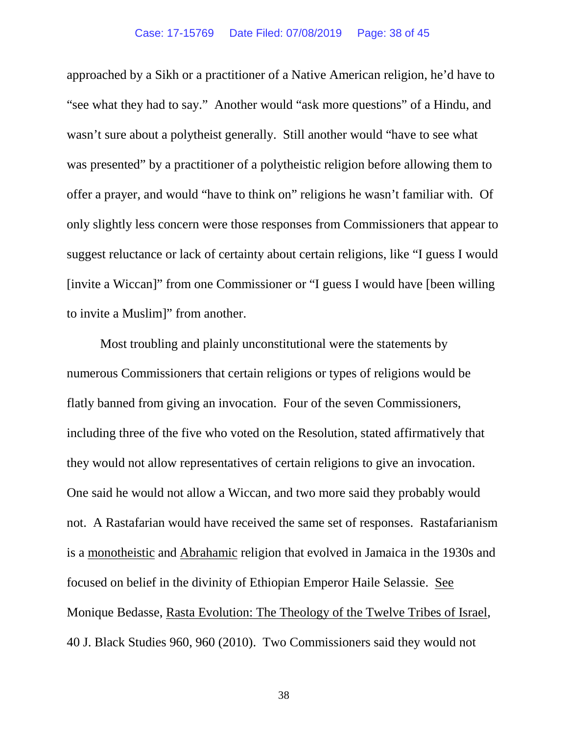approached by a Sikh or a practitioner of a Native American religion, he'd have to "see what they had to say." Another would "ask more questions" of a Hindu, and wasn't sure about a polytheist generally. Still another would "have to see what was presented" by a practitioner of a polytheistic religion before allowing them to offer a prayer, and would "have to think on" religions he wasn't familiar with. Of only slightly less concern were those responses from Commissioners that appear to suggest reluctance or lack of certainty about certain religions, like "I guess I would [invite a Wiccan]" from one Commissioner or "I guess I would have [been willing to invite a Muslim]" from another.

Most troubling and plainly unconstitutional were the statements by numerous Commissioners that certain religions or types of religions would be flatly banned from giving an invocation. Four of the seven Commissioners, including three of the five who voted on the Resolution, stated affirmatively that they would not allow representatives of certain religions to give an invocation. One said he would not allow a Wiccan, and two more said they probably would not. A Rastafarian would have received the same set of responses. Rastafarianism is a monotheistic and Abrahamic religion that evolved in Jamaica in the 1930s and focused on belief in the divinity of Ethiopian Emperor Haile Selassie. See Monique Bedasse, Rasta Evolution: The Theology of the Twelve Tribes of Israel, 40 J. Black Studies 960, 960 (2010). Two Commissioners said they would not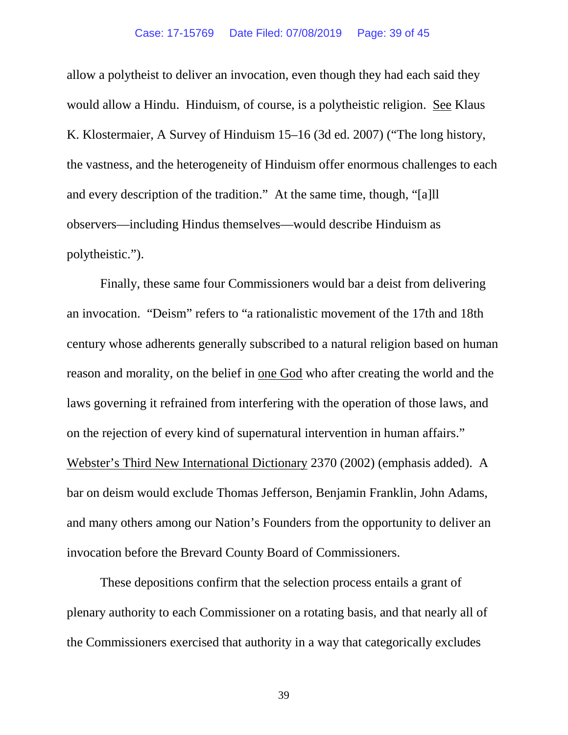## Case: 17-15769 Date Filed: 07/08/2019 Page: 39 of 45

allow a polytheist to deliver an invocation, even though they had each said they would allow a Hindu. Hinduism, of course, is a polytheistic religion. See Klaus K. Klostermaier, A Survey of Hinduism 15–16 (3d ed. 2007) ("The long history, the vastness, and the heterogeneity of Hinduism offer enormous challenges to each and every description of the tradition." At the same time, though, "[a]ll observers—including Hindus themselves—would describe Hinduism as polytheistic.").

Finally, these same four Commissioners would bar a deist from delivering an invocation. "Deism" refers to "a rationalistic movement of the 17th and 18th century whose adherents generally subscribed to a natural religion based on human reason and morality, on the belief in one God who after creating the world and the laws governing it refrained from interfering with the operation of those laws, and on the rejection of every kind of supernatural intervention in human affairs." Webster's Third New International Dictionary 2370 (2002) (emphasis added). A bar on deism would exclude Thomas Jefferson, Benjamin Franklin, John Adams, and many others among our Nation's Founders from the opportunity to deliver an invocation before the Brevard County Board of Commissioners.

These depositions confirm that the selection process entails a grant of plenary authority to each Commissioner on a rotating basis, and that nearly all of the Commissioners exercised that authority in a way that categorically excludes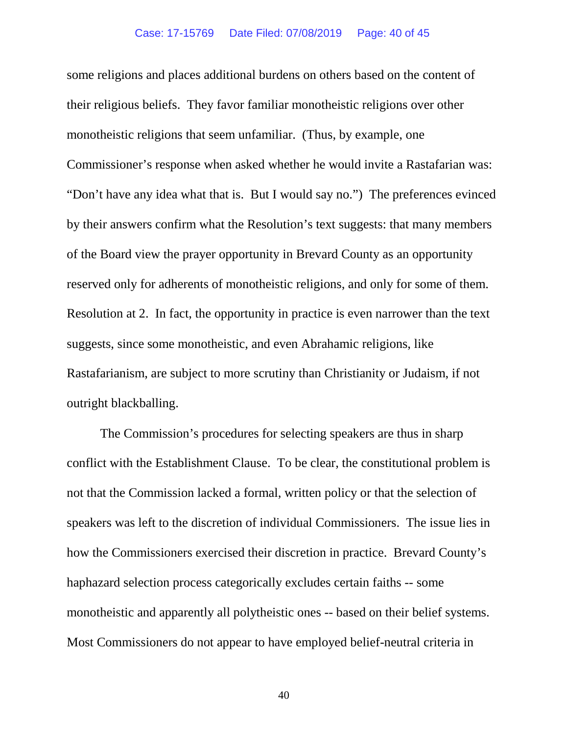some religions and places additional burdens on others based on the content of their religious beliefs. They favor familiar monotheistic religions over other monotheistic religions that seem unfamiliar. (Thus, by example, one Commissioner's response when asked whether he would invite a Rastafarian was: "Don't have any idea what that is. But I would say no.") The preferences evinced by their answers confirm what the Resolution's text suggests: that many members of the Board view the prayer opportunity in Brevard County as an opportunity reserved only for adherents of monotheistic religions, and only for some of them. Resolution at 2. In fact, the opportunity in practice is even narrower than the text suggests, since some monotheistic, and even Abrahamic religions, like Rastafarianism, are subject to more scrutiny than Christianity or Judaism, if not outright blackballing.

The Commission's procedures for selecting speakers are thus in sharp conflict with the Establishment Clause. To be clear, the constitutional problem is not that the Commission lacked a formal, written policy or that the selection of speakers was left to the discretion of individual Commissioners. The issue lies in how the Commissioners exercised their discretion in practice. Brevard County's haphazard selection process categorically excludes certain faiths -- some monotheistic and apparently all polytheistic ones -- based on their belief systems. Most Commissioners do not appear to have employed belief-neutral criteria in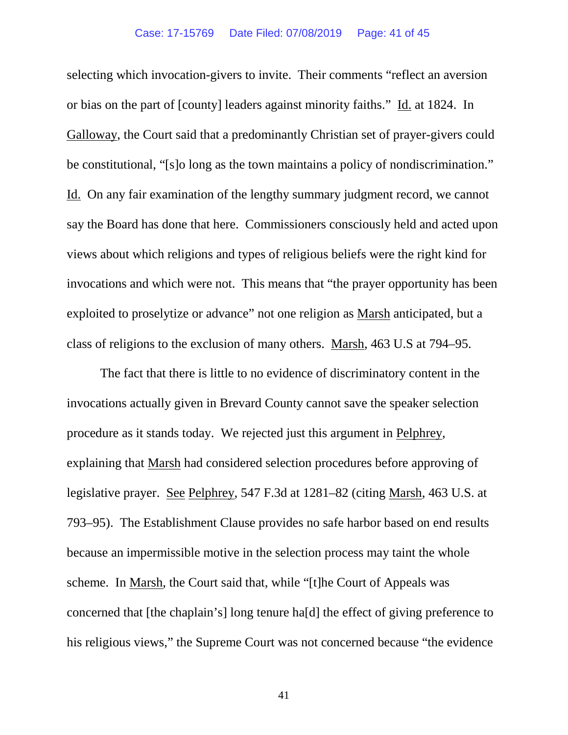selecting which invocation-givers to invite. Their comments "reflect an aversion or bias on the part of [county] leaders against minority faiths." Id. at 1824. In Galloway, the Court said that a predominantly Christian set of prayer-givers could be constitutional, "[s]o long as the town maintains a policy of nondiscrimination." Id. On any fair examination of the lengthy summary judgment record, we cannot say the Board has done that here. Commissioners consciously held and acted upon views about which religions and types of religious beliefs were the right kind for invocations and which were not. This means that "the prayer opportunity has been exploited to proselytize or advance" not one religion as Marsh anticipated, but a class of religions to the exclusion of many others. Marsh, 463 U.S at 794–95.

The fact that there is little to no evidence of discriminatory content in the invocations actually given in Brevard County cannot save the speaker selection procedure as it stands today. We rejected just this argument in Pelphrey, explaining that Marsh had considered selection procedures before approving of legislative prayer. See Pelphrey, 547 F.3d at 1281–82 (citing Marsh, 463 U.S. at 793–95). The Establishment Clause provides no safe harbor based on end results because an impermissible motive in the selection process may taint the whole scheme. In Marsh, the Court said that, while "[t]he Court of Appeals was concerned that [the chaplain's] long tenure ha[d] the effect of giving preference to his religious views," the Supreme Court was not concerned because "the evidence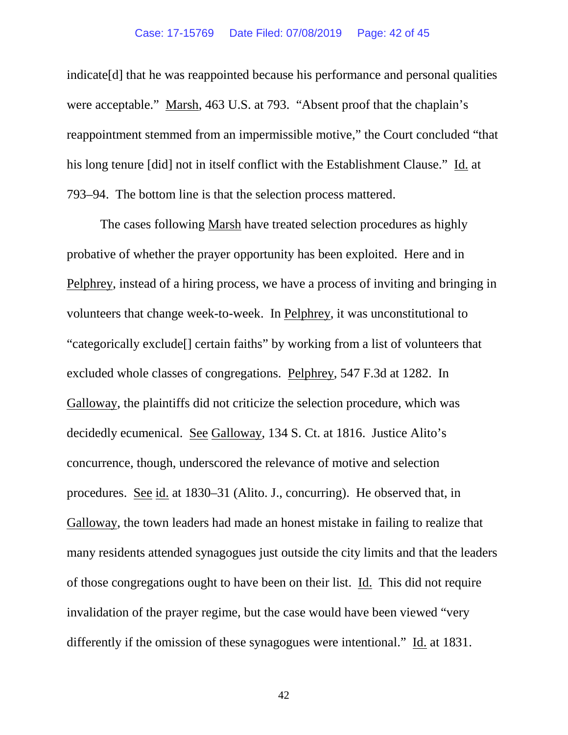indicate[d] that he was reappointed because his performance and personal qualities were acceptable." Marsh, 463 U.S. at 793. "Absent proof that the chaplain's reappointment stemmed from an impermissible motive," the Court concluded "that his long tenure [did] not in itself conflict with the Establishment Clause." Id. at 793–94. The bottom line is that the selection process mattered.

The cases following Marsh have treated selection procedures as highly probative of whether the prayer opportunity has been exploited. Here and in Pelphrey, instead of a hiring process, we have a process of inviting and bringing in volunteers that change week-to-week. In Pelphrey, it was unconstitutional to "categorically exclude[] certain faiths" by working from a list of volunteers that excluded whole classes of congregations. Pelphrey, 547 F.3d at 1282. In Galloway, the plaintiffs did not criticize the selection procedure, which was decidedly ecumenical. See Galloway, 134 S. Ct. at 1816. Justice Alito's concurrence, though, underscored the relevance of motive and selection procedures. See id. at 1830–31 (Alito. J., concurring). He observed that, in Galloway, the town leaders had made an honest mistake in failing to realize that many residents attended synagogues just outside the city limits and that the leaders of those congregations ought to have been on their list. Id. This did not require invalidation of the prayer regime, but the case would have been viewed "very differently if the omission of these synagogues were intentional." Id. at 1831.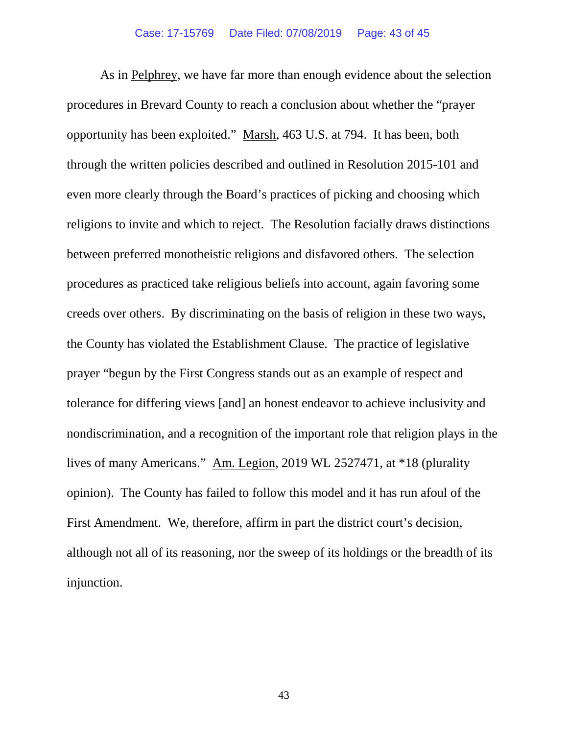As in Pelphrey, we have far more than enough evidence about the selection procedures in Brevard County to reach a conclusion about whether the "prayer opportunity has been exploited." Marsh, 463 U.S. at 794. It has been, both through the written policies described and outlined in Resolution 2015-101 and even more clearly through the Board's practices of picking and choosing which religions to invite and which to reject. The Resolution facially draws distinctions between preferred monotheistic religions and disfavored others. The selection procedures as practiced take religious beliefs into account, again favoring some creeds over others. By discriminating on the basis of religion in these two ways, the County has violated the Establishment Clause. The practice of legislative prayer "begun by the First Congress stands out as an example of respect and tolerance for differing views [and] an honest endeavor to achieve inclusivity and nondiscrimination, and a recognition of the important role that religion plays in the lives of many Americans." Am. Legion, 2019 WL 2527471, at \*18 (plurality opinion). The County has failed to follow this model and it has run afoul of the First Amendment. We, therefore, affirm in part the district court's decision, although not all of its reasoning, nor the sweep of its holdings or the breadth of its injunction.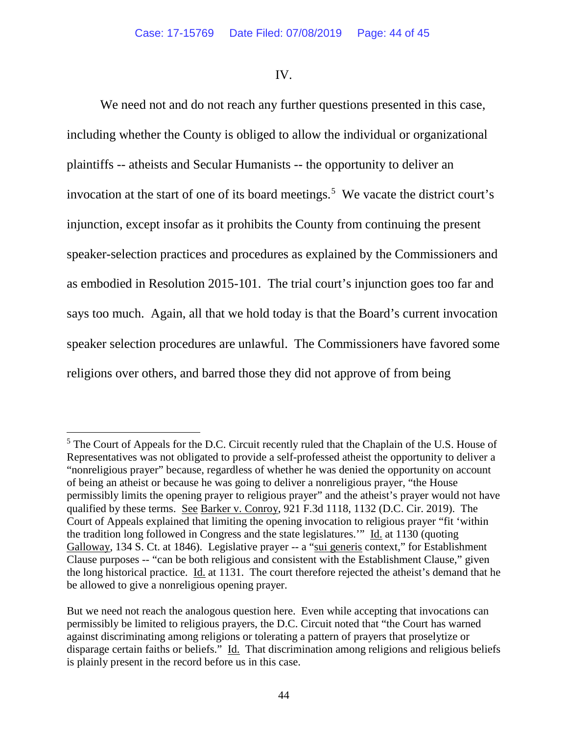## IV.

We need not and do not reach any further questions presented in this case, including whether the County is obliged to allow the individual or organizational plaintiffs -- atheists and Secular Humanists -- the opportunity to deliver an invocation at the start of one of its board meetings.<sup>[5](#page-43-0)</sup> We vacate the district court's injunction, except insofar as it prohibits the County from continuing the present speaker-selection practices and procedures as explained by the Commissioners and as embodied in Resolution 2015-101. The trial court's injunction goes too far and says too much. Again, all that we hold today is that the Board's current invocation speaker selection procedures are unlawful. The Commissioners have favored some religions over others, and barred those they did not approve of from being

<span id="page-43-0"></span><sup>&</sup>lt;sup>5</sup> The Court of Appeals for the D.C. Circuit recently ruled that the Chaplain of the U.S. House of Representatives was not obligated to provide a self-professed atheist the opportunity to deliver a "nonreligious prayer" because, regardless of whether he was denied the opportunity on account of being an atheist or because he was going to deliver a nonreligious prayer, "the House permissibly limits the opening prayer to religious prayer" and the atheist's prayer would not have qualified by these terms. See Barker v. Conroy, 921 F.3d 1118, 1132 (D.C. Cir. 2019). The Court of Appeals explained that limiting the opening invocation to religious prayer "fit 'within the tradition long followed in Congress and the state legislatures.'" Id. at 1130 (quoting Galloway, 134 S. Ct. at 1846). Legislative prayer -- a "sui generis context," for Establishment Clause purposes -- "can be both religious and consistent with the Establishment Clause," given the long historical practice. Id. at 1131. The court therefore rejected the atheist's demand that he be allowed to give a nonreligious opening prayer.

But we need not reach the analogous question here. Even while accepting that invocations can permissibly be limited to religious prayers, the D.C. Circuit noted that "the Court has warned against discriminating among religions or tolerating a pattern of prayers that proselytize or disparage certain faiths or beliefs." Id. That discrimination among religions and religious beliefs is plainly present in the record before us in this case.